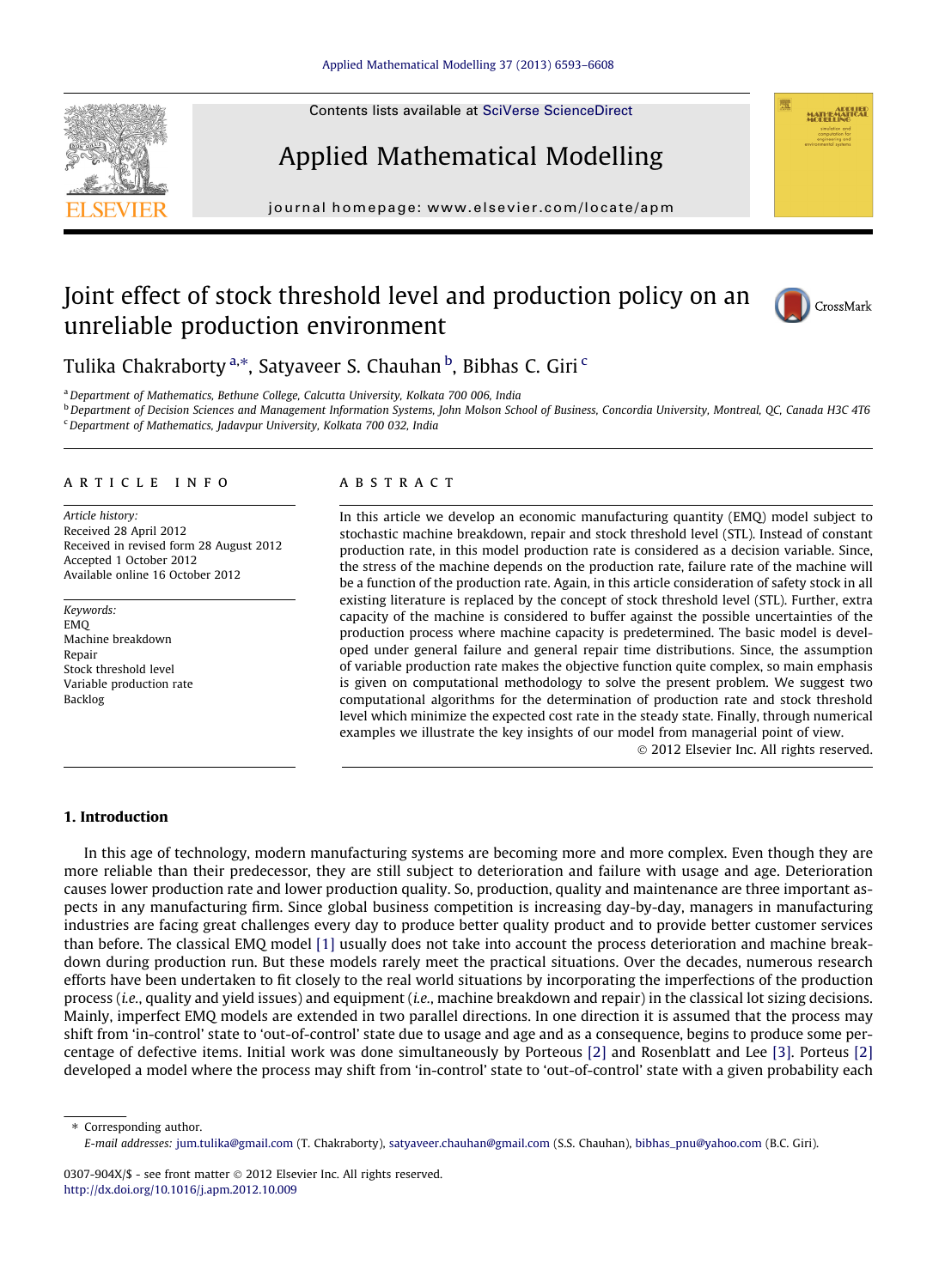Contents lists available at [SciVerse ScienceDirect](http://www.sciencedirect.com/science/journal/0307904X)





journal homepage: [www.elsevier.com/locate/apm](http://www.elsevier.com/locate/apm)

# Joint effect of stock threshold level and production policy on an unreliable production environment



Tulika Chakraborty <sup>a,</sup>\*, Satyaveer S. Chauhan <sup>b</sup>, Bibhas C. Giri <sup>c</sup>

<sup>a</sup> Department of Mathematics, Bethune College, Calcutta University, Kolkata 700 006, India

<sup>b</sup> Department of Decision Sciences and Management Information Systems, John Molson School of Business, Concordia University, Montreal, QC, Canada H3C 4T6 <sup>c</sup>Department of Mathematics, Jadavpur University, Kolkata 700 032, India

## article info

Article history: Received 28 April 2012 Received in revised form 28 August 2012 Accepted 1 October 2012 Available online 16 October 2012

Keywords: EMQ Machine breakdown Repair Stock threshold level Variable production rate Backlog

# **ABSTRACT**

In this article we develop an economic manufacturing quantity (EMQ) model subject to stochastic machine breakdown, repair and stock threshold level (STL). Instead of constant production rate, in this model production rate is considered as a decision variable. Since, the stress of the machine depends on the production rate, failure rate of the machine will be a function of the production rate. Again, in this article consideration of safety stock in all existing literature is replaced by the concept of stock threshold level (STL). Further, extra capacity of the machine is considered to buffer against the possible uncertainties of the production process where machine capacity is predetermined. The basic model is developed under general failure and general repair time distributions. Since, the assumption of variable production rate makes the objective function quite complex, so main emphasis is given on computational methodology to solve the present problem. We suggest two computational algorithms for the determination of production rate and stock threshold level which minimize the expected cost rate in the steady state. Finally, through numerical examples we illustrate the key insights of our model from managerial point of view.

- 2012 Elsevier Inc. All rights reserved.

## 1. Introduction

In this age of technology, modern manufacturing systems are becoming more and more complex. Even though they are more reliable than their predecessor, they are still subject to deterioration and failure with usage and age. Deterioration causes lower production rate and lower production quality. So, production, quality and maintenance are three important aspects in any manufacturing firm. Since global business competition is increasing day-by-day, managers in manufacturing industries are facing great challenges every day to produce better quality product and to provide better customer services than before. The classical EMQ model [\[1\]](#page-15-0) usually does not take into account the process deterioration and machine breakdown during production run. But these models rarely meet the practical situations. Over the decades, numerous research efforts have been undertaken to fit closely to the real world situations by incorporating the imperfections of the production process (i.e., quality and yield issues) and equipment (i.e., machine breakdown and repair) in the classical lot sizing decisions. Mainly, imperfect EMQ models are extended in two parallel directions. In one direction it is assumed that the process may shift from 'in-control' state to 'out-of-control' state due to usage and age and as a consequence, begins to produce some percentage of defective items. Initial work was done simultaneously by Porteous [\[2\]](#page-15-0) and Rosenblatt and Lee [\[3\].](#page-15-0) Porteus [\[2\]](#page-15-0) developed a model where the process may shift from 'in-control' state to 'out-of-control' state with a given probability each

⇑ Corresponding author. E-mail addresses: [jum.tulika@gmail.com](mailto:jum.tulika@gmail.com) (T. Chakraborty), [satyaveer.chauhan@gmail.com](mailto:satyaveer.chauhan@gmail.com) (S.S. Chauhan), [bibhas\\_pnu@yahoo.com](mailto:bibhas_pnu@yahoo.com) (B.C. Giri).

<sup>0307-904</sup>X/\$ - see front matter © 2012 Elsevier Inc. All rights reserved. <http://dx.doi.org/10.1016/j.apm.2012.10.009>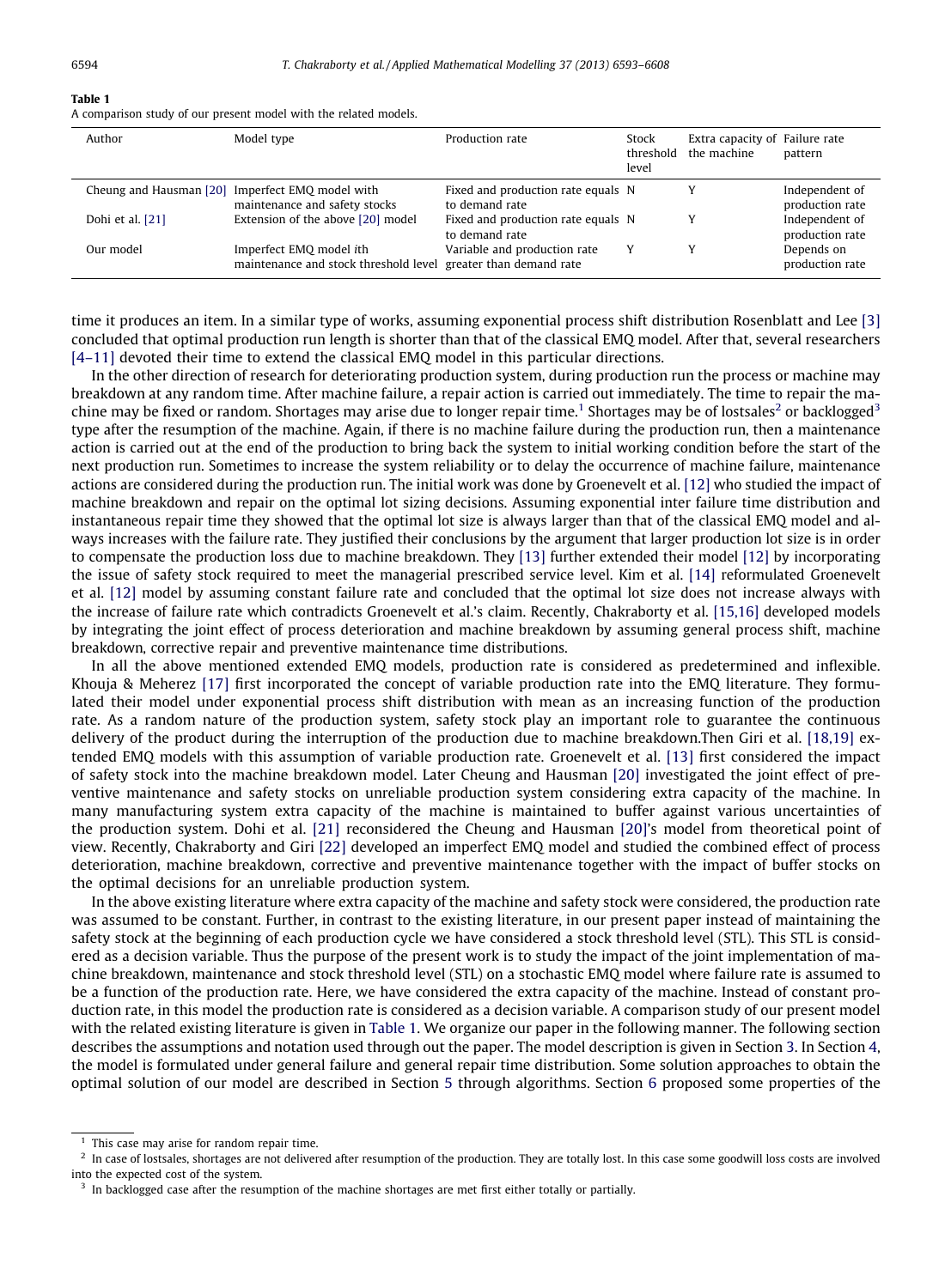#### Table 1

A comparison study of our present model with the related models.

| Author           | Model type                                                                                | Production rate                                      | Stock<br>threshold<br>level | Extra capacity of Failure rate<br>the machine | pattern                           |
|------------------|-------------------------------------------------------------------------------------------|------------------------------------------------------|-----------------------------|-----------------------------------------------|-----------------------------------|
|                  | Cheung and Hausman [20] Imperfect EMO model with<br>maintenance and safety stocks         | Fixed and production rate equals N<br>to demand rate |                             |                                               | Independent of<br>production rate |
| Dohi et al. [21] | Extension of the above [20] model                                                         | Fixed and production rate equals N<br>to demand rate |                             |                                               | Independent of<br>production rate |
| Our model        | Imperfect EMQ model ith<br>maintenance and stock threshold level greater than demand rate | Variable and production rate                         | Y                           |                                               | Depends on<br>production rate     |

time it produces an item. In a similar type of works, assuming exponential process shift distribution Rosenblatt and Lee [\[3\]](#page-15-0) concluded that optimal production run length is shorter than that of the classical EMQ model. After that, several researchers [4-11] devoted their time to extend the classical EMQ model in this particular directions.

In the other direction of research for deteriorating production system, during production run the process or machine may breakdown at any random time. After machine failure, a repair action is carried out immediately. The time to repair the machine may be fixed or random. Shortages may arise due to longer repair time.<sup>1</sup> Shortages may be of lostsales<sup>2</sup> or backlogged<sup>3</sup> type after the resumption of the machine. Again, if there is no machine failure during the production run, then a maintenance action is carried out at the end of the production to bring back the system to initial working condition before the start of the next production run. Sometimes to increase the system reliability or to delay the occurrence of machine failure, maintenance actions are considered during the production run. The initial work was done by Groenevelt et al. [\[12\]](#page-15-0) who studied the impact of machine breakdown and repair on the optimal lot sizing decisions. Assuming exponential inter failure time distribution and instantaneous repair time they showed that the optimal lot size is always larger than that of the classical EMQ model and always increases with the failure rate. They justified their conclusions by the argument that larger production lot size is in order to compensate the production loss due to machine breakdown. They [\[13\]](#page-15-0) further extended their model [\[12\]](#page-15-0) by incorporating the issue of safety stock required to meet the managerial prescribed service level. Kim et al. [\[14\]](#page-15-0) reformulated Groenevelt et al. [\[12\]](#page-15-0) model by assuming constant failure rate and concluded that the optimal lot size does not increase always with the increase of failure rate which contradicts Groenevelt et al.'s claim. Recently, Chakraborty et al. [\[15,16\]](#page-15-0) developed models by integrating the joint effect of process deterioration and machine breakdown by assuming general process shift, machine breakdown, corrective repair and preventive maintenance time distributions.

In all the above mentioned extended EMQ models, production rate is considered as predetermined and inflexible. Khouja & Meherez [\[17\]](#page-15-0) first incorporated the concept of variable production rate into the EMQ literature. They formulated their model under exponential process shift distribution with mean as an increasing function of the production rate. As a random nature of the production system, safety stock play an important role to guarantee the continuous delivery of the product during the interruption of the production due to machine breakdown.Then Giri et al. [\[18,19\]](#page-15-0) extended EMQ models with this assumption of variable production rate. Groenevelt et al. [\[13\]](#page-15-0) first considered the impact of safety stock into the machine breakdown model. Later Cheung and Hausman [\[20\]](#page-15-0) investigated the joint effect of preventive maintenance and safety stocks on unreliable production system considering extra capacity of the machine. In many manufacturing system extra capacity of the machine is maintained to buffer against various uncertainties of the production system. Dohi et al. [\[21\]](#page-15-0) reconsidered the Cheung and Hausman [\[20\]](#page-15-0)'s model from theoretical point of view. Recently, Chakraborty and Giri [\[22\]](#page-15-0) developed an imperfect EMQ model and studied the combined effect of process deterioration, machine breakdown, corrective and preventive maintenance together with the impact of buffer stocks on the optimal decisions for an unreliable production system.

In the above existing literature where extra capacity of the machine and safety stock were considered, the production rate was assumed to be constant. Further, in contrast to the existing literature, in our present paper instead of maintaining the safety stock at the beginning of each production cycle we have considered a stock threshold level (STL). This STL is considered as a decision variable. Thus the purpose of the present work is to study the impact of the joint implementation of machine breakdown, maintenance and stock threshold level (STL) on a stochastic EMQ model where failure rate is assumed to be a function of the production rate. Here, we have considered the extra capacity of the machine. Instead of constant production rate, in this model the production rate is considered as a decision variable. A comparison study of our present model with the related existing literature is given in Table 1. We organize our paper in the following manner. The following section describes the assumptions and notation used through out the paper. The model description is given in Section 3. In Section 4, the model is formulated under general failure and general repair time distribution. Some solution approaches to obtain the optimal solution of our model are described in Section 5 through algorithms. Section 6 proposed some properties of the

This case may arise for random repair time.

<sup>2</sup> In case of lostsales, shortages are not delivered after resumption of the production. They are totally lost. In this case some goodwill loss costs are involved into the expected cost of the system.

 $3\,$  In backlogged case after the resumption of the machine shortages are met first either totally or partially.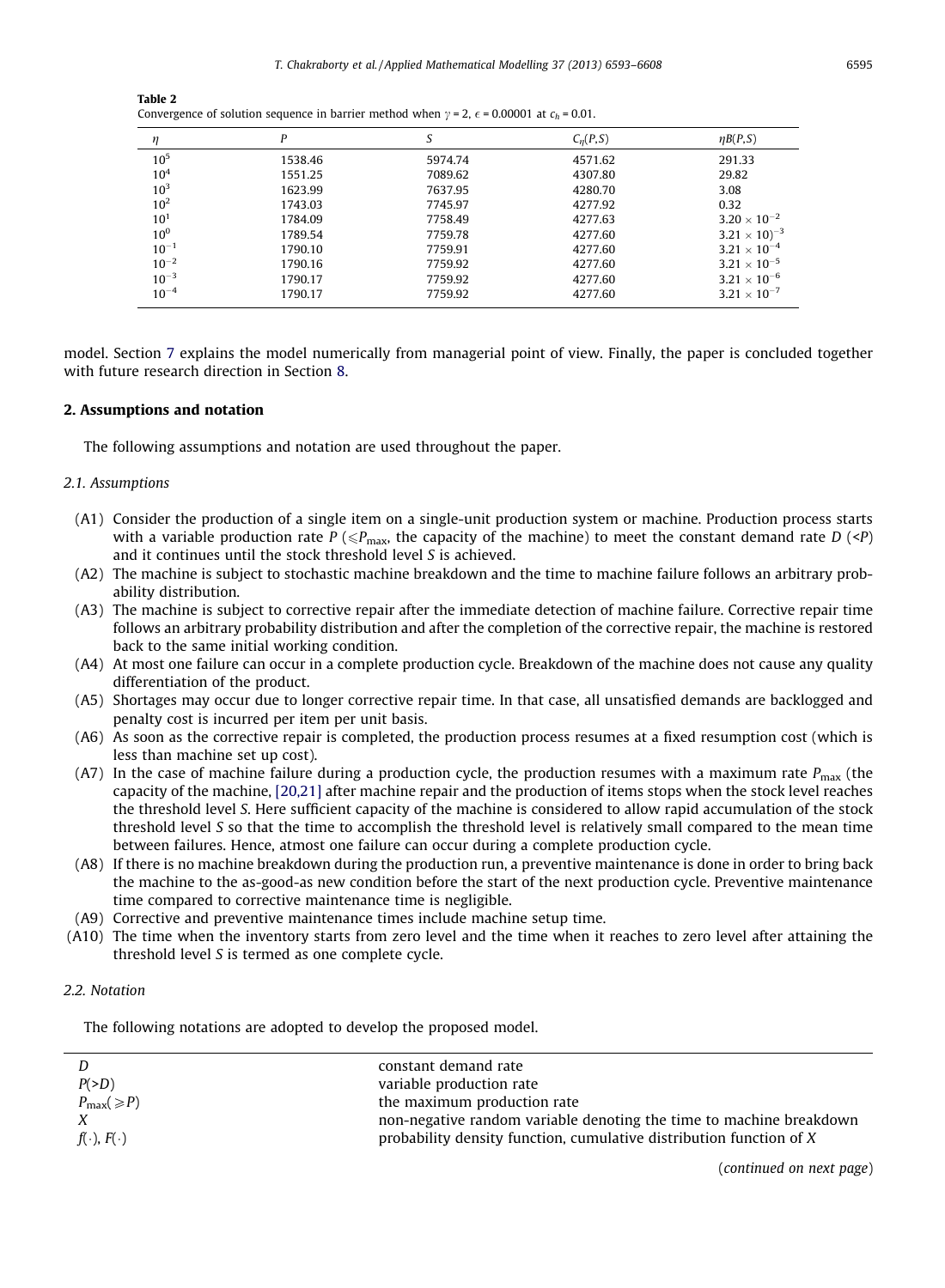|                 | Convergence of solution sequence in barrier method when $\gamma$ = 2, $\epsilon$ = 0.00001 at $c_h$ = 0.01. |         |            |                       |  |
|-----------------|-------------------------------------------------------------------------------------------------------------|---------|------------|-----------------------|--|
|                 | P                                                                                                           |         | $C_n(P,S)$ | $\eta B(P,S)$         |  |
| $10^{5}$        | 1538.46                                                                                                     | 5974.74 | 4571.62    | 291.33                |  |
| $10^{4}$        | 1551.25                                                                                                     | 7089.62 | 4307.80    | 29.82                 |  |
| $10^{3}$        | 1623.99                                                                                                     | 7637.95 | 4280.70    | 3.08                  |  |
| $10^{2}$        | 1743.03                                                                                                     | 7745.97 | 4277.92    | 0.32                  |  |
| $10^{1}$        | 1784.09                                                                                                     | 7758.49 | 4277.63    | $3.20 \times 10^{-2}$ |  |
| 10 <sup>0</sup> | 1789.54                                                                                                     | 7759.78 | 4277.60    | $3.21 \times 10^{-3}$ |  |
| $10^{-1}$       | 1790.10                                                                                                     | 7759.91 | 4277.60    | $3.21 \times 10^{-4}$ |  |
| $10^{-2}$       | 1790.16                                                                                                     | 7759.92 | 4277.60    | $3.21 \times 10^{-5}$ |  |
| $10^{-3}$       | 1790.17                                                                                                     | 7759.92 | 4277.60    | $3.21 \times 10^{-6}$ |  |
| $10^{-4}$       | 1790.17                                                                                                     | 7759.92 | 4277.60    | $3.21 \times 10^{-7}$ |  |
|                 |                                                                                                             |         |            |                       |  |

Convergence of solution sequence in barrier method when  $\gamma$  = 2,  $\epsilon$ 

model. Section 7 explains the model numerically from managerial point of view. Finally, the paper is concluded together with future research direction in Section 8.

## 2. Assumptions and notation

<span id="page-2-0"></span>Table 2

The following assumptions and notation are used throughout the paper.

#### 2.1. Assumptions

- (A1) Consider the production of a single item on a single-unit production system or machine. Production process starts with a variable production rate  $P (\leq P_{\text{max}})$ , the capacity of the machine) to meet the constant demand rate D (<P) and it continues until the stock threshold level S is achieved.
- (A2) The machine is subject to stochastic machine breakdown and the time to machine failure follows an arbitrary probability distribution.
- (A3) The machine is subject to corrective repair after the immediate detection of machine failure. Corrective repair time follows an arbitrary probability distribution and after the completion of the corrective repair, the machine is restored back to the same initial working condition.
- (A4) At most one failure can occur in a complete production cycle. Breakdown of the machine does not cause any quality differentiation of the product.
- (A5) Shortages may occur due to longer corrective repair time. In that case, all unsatisfied demands are backlogged and penalty cost is incurred per item per unit basis.
- (A6) As soon as the corrective repair is completed, the production process resumes at a fixed resumption cost (which is less than machine set up cost).
- (A7) In the case of machine failure during a production cycle, the production resumes with a maximum rate  $P_{\text{max}}$  (the capacity of the machine, [\[20,21\]](#page-15-0) after machine repair and the production of items stops when the stock level reaches the threshold level S. Here sufficient capacity of the machine is considered to allow rapid accumulation of the stock threshold level S so that the time to accomplish the threshold level is relatively small compared to the mean time between failures. Hence, atmost one failure can occur during a complete production cycle.
- (A8) If there is no machine breakdown during the production run, a preventive maintenance is done in order to bring back the machine to the as-good-as new condition before the start of the next production cycle. Preventive maintenance time compared to corrective maintenance time is negligible.
- (A9) Corrective and preventive maintenance times include machine setup time.
- (A10) The time when the inventory starts from zero level and the time when it reaches to zero level after attaining the threshold level S is termed as one complete cycle.

# 2.2. Notation

The following notations are adopted to develop the proposed model.

|                          | constant demand rate                                                |
|--------------------------|---------------------------------------------------------------------|
| P(>D)                    | variable production rate                                            |
| $P_{\text{max}}(\geq P)$ | the maximum production rate                                         |
|                          | non-negative random variable denoting the time to machine breakdown |
| $f(\cdot), F(\cdot)$     | probability density function, cumulative distribution function of X |

(continued on next page)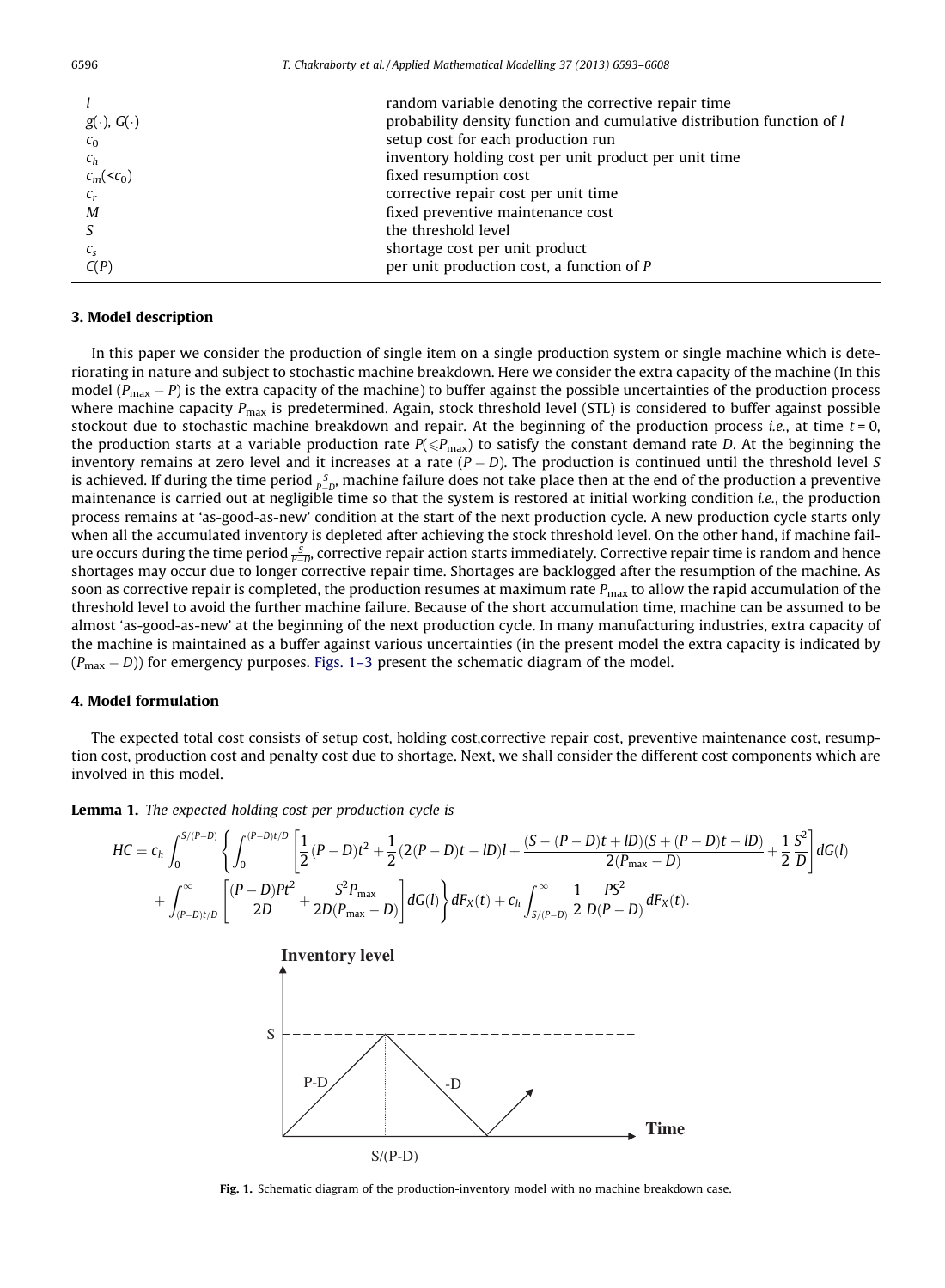|                           | random variable denoting the corrective repair time                    |
|---------------------------|------------------------------------------------------------------------|
| $g(\cdot), G(\cdot)$      | probability density function and cumulative distribution function of l |
| c <sub>0</sub>            | setup cost for each production run                                     |
| $c_h$                     | inventory holding cost per unit product per unit time                  |
| $c_m$ ( <c<sub>0)</c<sub> | fixed resumption cost                                                  |
| $c_r$                     | corrective repair cost per unit time                                   |
| M                         | fixed preventive maintenance cost                                      |
|                           | the threshold level                                                    |
| $c_{\rm c}$               | shortage cost per unit product                                         |
| C(P)                      | per unit production cost, a function of P                              |

<span id="page-3-0"></span>6596 T. Chakraborty et al. / Applied Mathematical Modelling 37 (2013) 6593–6608

## 3. Model description

In this paper we consider the production of single item on a single production system or single machine which is deteriorating in nature and subject to stochastic machine breakdown. Here we consider the extra capacity of the machine (In this model  $(P_{\text{max}} - P)$  is the extra capacity of the machine) to buffer against the possible uncertainties of the production process where machine capacity  $P_{\text{max}}$  is predetermined. Again, stock threshold level (STL) is considered to buffer against possible stockout due to stochastic machine breakdown and repair. At the beginning of the production process *i.e.*, at time  $t = 0$ , the production starts at a variable production rate  $P(\leq P_{\text{max}})$  to satisfy the constant demand rate D. At the beginning the inventory remains at zero level and it increases at a rate  $(P - D)$ . The production is continued until the threshold level S is achieved. If during the time period  $\frac{S}{P-D'}$ , machine failure does not take place then at the end of the production a preventive maintenance is carried out at negligible time so that the system is restored at initial working condition i.e., the production process remains at 'as-good-as-new' condition at the start of the next production cycle. A new production cycle starts only when all the accumulated inventory is depleted after achieving the stock threshold level. On the other hand, if machine failure occurs during the time period  $\frac{S}{P-D}$ , corrective repair action starts immediately. Corrective repair time is random and hence shortages may occur due to longer corrective repair time. Shortages are backlogged after the resumption of the machine. As soon as corrective repair is completed, the production resumes at maximum rate  $P_{\text{max}}$  to allow the rapid accumulation of the threshold level to avoid the further machine failure. Because of the short accumulation time, machine can be assumed to be almost 'as-good-as-new' at the beginning of the next production cycle. In many manufacturing industries, extra capacity of the machine is maintained as a buffer against various uncertainties (in the present model the extra capacity is indicated by  $(P_{\text{max}} - D)$ ) for emergency purposes. Figs. 1–3 present the schematic diagram of the model.

## 4. Model formulation

The expected total cost consists of setup cost, holding cost,corrective repair cost, preventive maintenance cost, resumption cost, production cost and penalty cost due to shortage. Next, we shall consider the different cost components which are involved in this model.

Lemma 1. The expected holding cost per production cycle is

$$
HC = c_h \int_0^{S/(P-D)} \left\{ \int_0^{(P-D)t/D} \left[ \frac{1}{2} (P-D)t^2 + \frac{1}{2} (2(P-D)t - lD) l + \frac{(S-(P-D)t+lD)(S+(P-D)t-lD)}{2(P_{\text{max}}-D)} + \frac{1}{2} \frac{S^2}{D} \right] dG(l) \right\} dF_X(t) + C_h \int_{S/(P-D)}^{\infty} \frac{1}{2} \frac{PS^2}{D(P-D)} dF_X(t).
$$



Fig. 1. Schematic diagram of the production-inventory model with no machine breakdown case.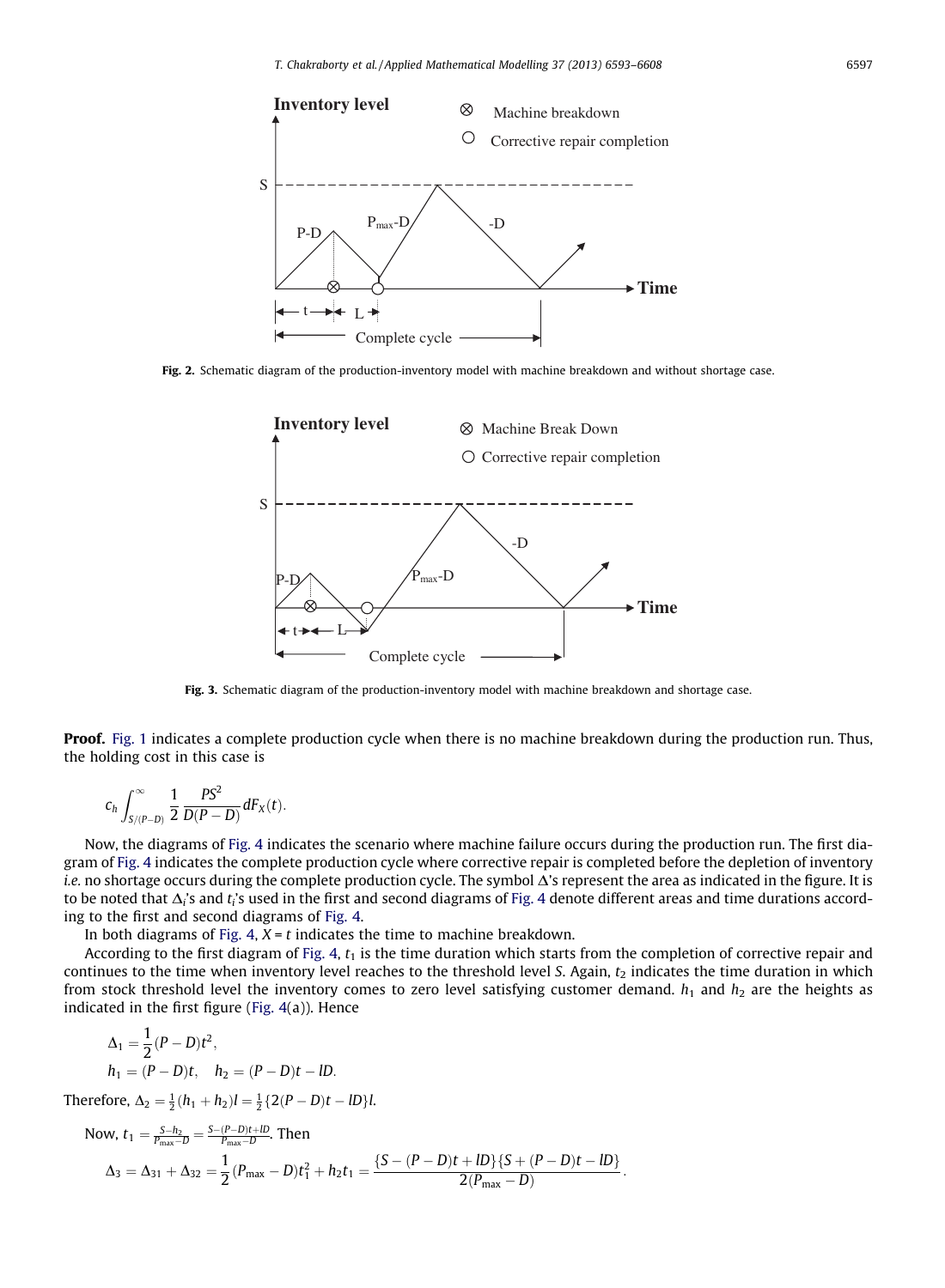<span id="page-4-0"></span>

Fig. 2. Schematic diagram of the production-inventory model with machine breakdown and without shortage case.



Fig. 3. Schematic diagram of the production-inventory model with machine breakdown and shortage case.

**Proof.** [Fig. 1](#page-3-0) indicates a complete production cycle when there is no machine breakdown during the production run. Thus, the holding cost in this case is

$$
c_h \int_{S/(P-D)}^{\infty} \frac{1}{2} \frac{PS^2}{D(P-D)} dF_X(t).
$$

Now, the diagrams of [Fig. 4](#page-5-0) indicates the scenario where machine failure occurs during the production run. The first diagram of [Fig. 4](#page-5-0) indicates the complete production cycle where corrective repair is completed before the depletion of inventory i.e. no shortage occurs during the complete production cycle. The symbol  $\Delta$ 's represent the area as indicated in the figure. It is to be noted that  $\Delta_i$ 's and t<sub>i</sub>'s used in the first and second diagrams of [Fig. 4](#page-5-0) denote different areas and time durations according to the first and second diagrams of [Fig. 4.](#page-5-0)

In both diagrams of [Fig. 4,](#page-5-0)  $X = t$  indicates the time to machine breakdown.

According to the first diagram of [Fig. 4,](#page-5-0)  $t_1$  is the time duration which starts from the completion of corrective repair and continues to the time when inventory level reaches to the threshold level S. Again,  $t_2$  indicates the time duration in which from stock threshold level the inventory comes to zero level satisfying customer demand.  $h_1$  and  $h_2$  are the heights as indicated in the first figure [\(Fig. 4](#page-5-0)(a)). Hence

$$
\Delta_1 = \frac{1}{2}(P - D)t^2,
$$
  
\n
$$
h_1 = (P - D)t, \quad h_2 = (P - D)t - lD.
$$

Therefore,  $\Delta_2 = \frac{1}{2}(h_1 + h_2)l = \frac{1}{2}{2(P - D)t - lD}l.$ 

Now, 
$$
t_1 = \frac{S-h_2}{P_{\text{max}}-D} = \frac{S-(P-D)t+ID}{P_{\text{max}}-D}
$$
. Then  
\n
$$
\Delta_3 = \Delta_{31} + \Delta_{32} = \frac{1}{2}(P_{\text{max}}-D)t_1^2 + h_2t_1 = \frac{\{S-(P-D)t+ID\}\{S+(P-D)t-ID\}}{2(P_{\text{max}}-D)}.
$$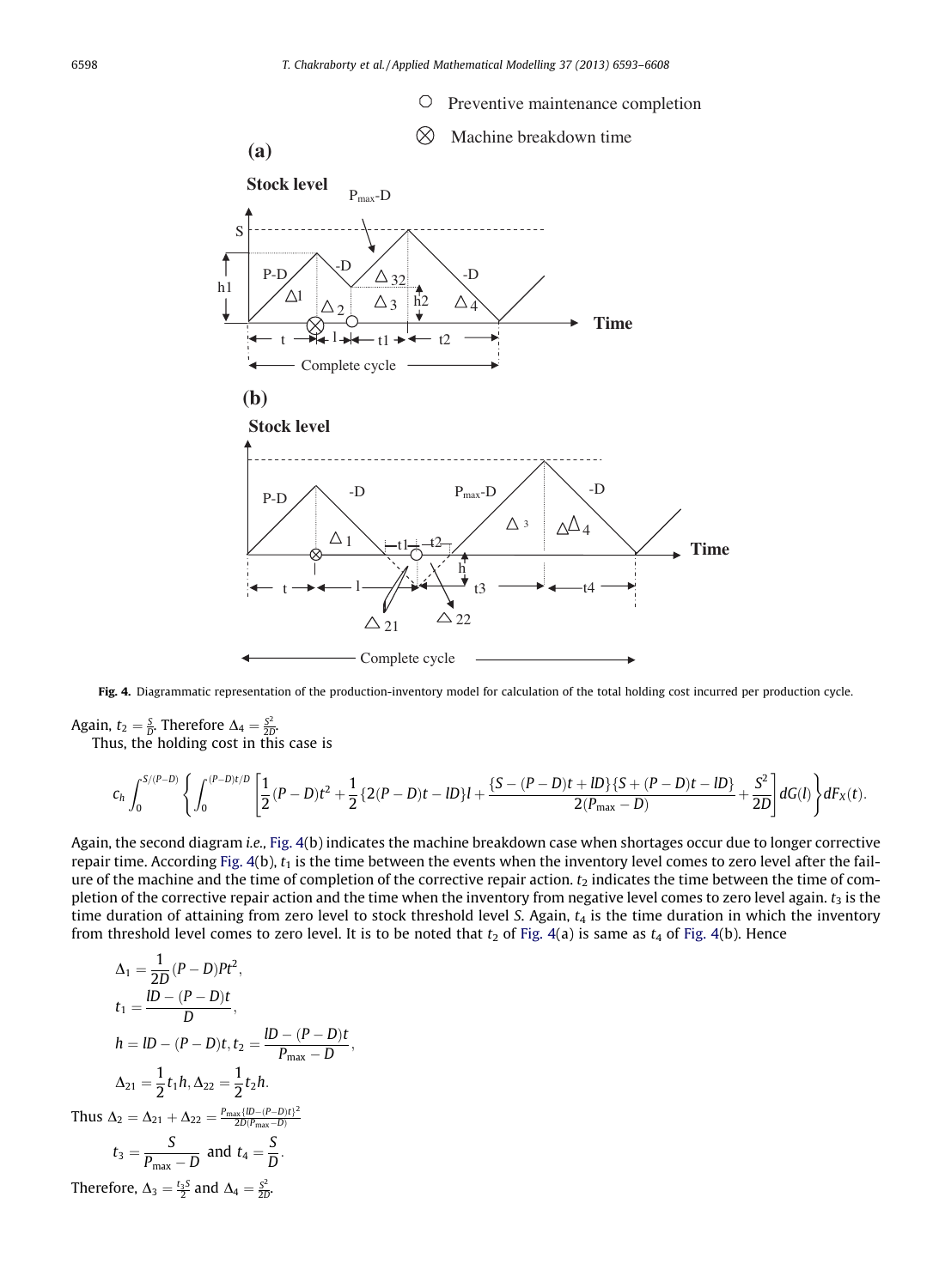<span id="page-5-0"></span>

Fig. 4. Diagrammatic representation of the production-inventory model for calculation of the total holding cost incurred per production cycle.

Again,  $t_2 = \frac{S}{D}$ . Therefore  $\Delta_4 = \frac{S^2}{2D}$ . Thus, the holding cost in this case is

$$
c_h \int_0^{S/(P-D)} \left\{ \int_0^{(P-D)t/D} \left[ \frac{1}{2} (P-D) t^2 + \frac{1}{2} \left\{ 2 (P-D) t -l D \right\} l + \frac{\{ S-(P-D) t +l D \} \{ S+(P-D) t -l D \} }{2 (P_{\max}-D)} + \frac{S^2}{2 D} \right] dG(l) \right\} dF_X(t).
$$

Again, the second diagram i.e., Fig. 4(b) indicates the machine breakdown case when shortages occur due to longer corrective repair time. According Fig.  $4(b)$ ,  $t_1$  is the time between the events when the inventory level comes to zero level after the failure of the machine and the time of completion of the corrective repair action.  $t_2$  indicates the time between the time of completion of the corrective repair action and the time when the inventory from negative level comes to zero level again.  $t_3$  is the time duration of attaining from zero level to stock threshold level S. Again,  $t_4$  is the time duration in which the inventory from threshold level comes to zero level. It is to be noted that  $t_2$  of Fig. 4(a) is same as  $t_4$  of Fig. 4(b). Hence

$$
\Delta_1 = \frac{1}{2D}(P - D)Pt^2,
$$
\n
$$
t_1 = \frac{ID - (P - D)t}{D},
$$
\n
$$
h = ID - (P - D)t, t_2 = \frac{ID - (P - D)t}{P_{\text{max}} - D},
$$
\n
$$
\Delta_{21} = \frac{1}{2}t_1h, \Delta_{22} = \frac{1}{2}t_2h.
$$
\nThus  $\Delta_2 = \Delta_{21} + \Delta_{22} = \frac{P_{\text{max}}\{ID - (P - D)t\}^2}{2D(P_{\text{max}} - D)}$   
\n
$$
t_3 = \frac{S}{P_{\text{max}} - D} \text{ and } t_4 = \frac{S}{D}.
$$
\nTherefore,  $\Delta_3 = \frac{t_3 S}{2} \text{ and } \Delta_4 = \frac{s_2}{2D}.$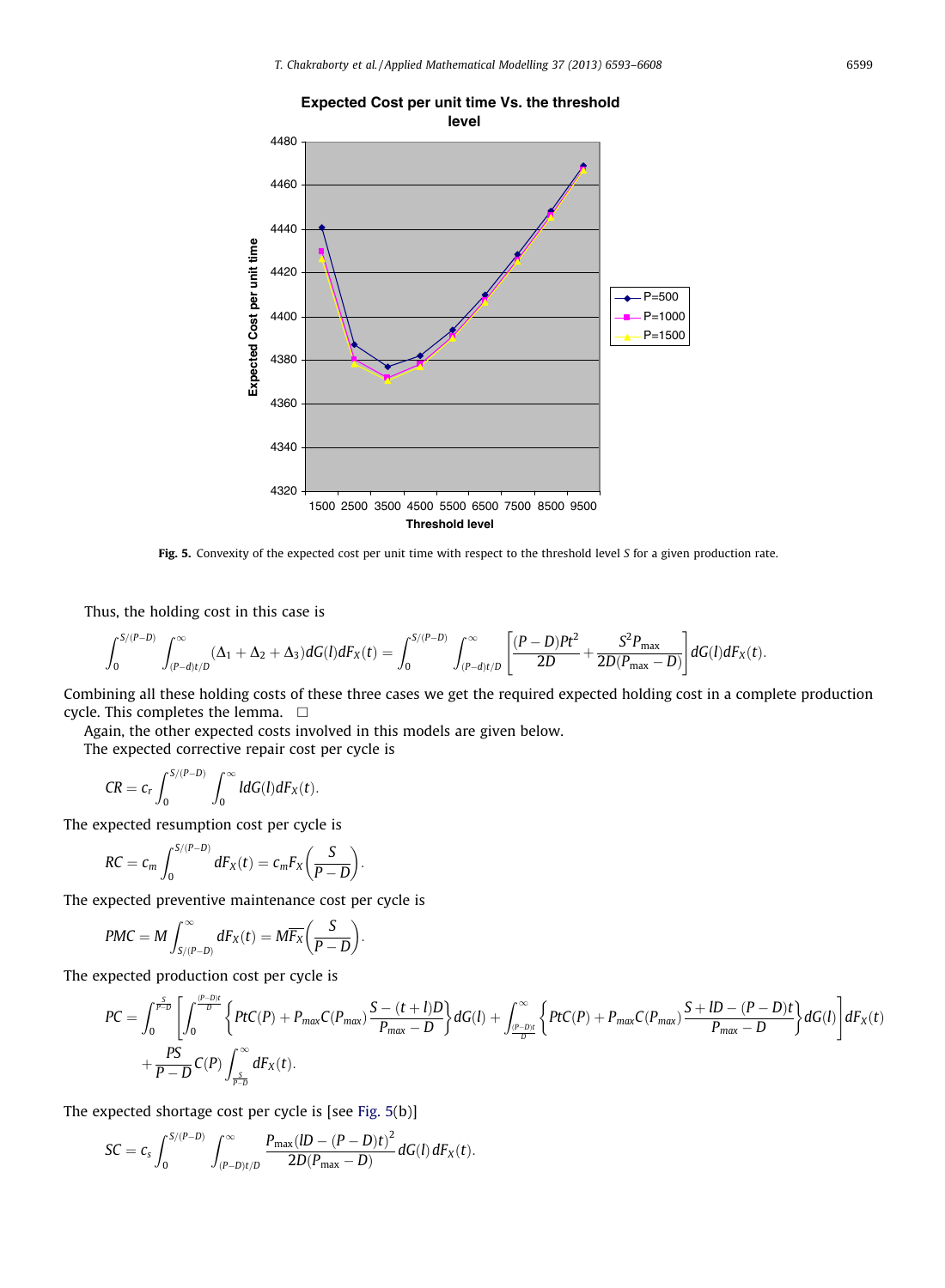<span id="page-6-0"></span>

Fig. 5. Convexity of the expected cost per unit time with respect to the threshold level S for a given production rate.

Thus, the holding cost in this case is

$$
\int_0^{S/(P-D)} \int_{(P-d)t/D}^{\infty} (\Delta_1 + \Delta_2 + \Delta_3) dG(l) dF_X(t) = \int_0^{S/(P-D)} \int_{(P-d)t/D}^{\infty} \left[ \frac{(P-D)P t^2}{2D} + \frac{S^2 P_{max}}{2D (P_{max} - D)} \right] dG(l) dF_X(t).
$$

Combining all these holding costs of these three cases we get the required expected holding cost in a complete production cycle. This completes the lemma.  $\Box$ 

Again, the other expected costs involved in this models are given below.

The expected corrective repair cost per cycle is

$$
CR = c_r \int_0^{S/(P-D)} \int_0^\infty ldG(l) dF_X(t).
$$

The expected resumption cost per cycle is

$$
RC = c_m \int_0^{S/(P-D)} dF_X(t) = c_m F_X \left( \frac{S}{P-D} \right).
$$

The expected preventive maintenance cost per cycle is

$$
PMC = M \int_{S/(P-D)}^{\infty} dF_X(t) = M \overline{F_X} \left( \frac{S}{P-D} \right).
$$

The expected production cost per cycle is

$$
PC = \int_0^{\frac{S}{p}} \left[ \int_0^{\frac{(P-D)t}{D}} \left\{ PtC(P) + P_{max}C(P_{max}) \frac{S - (t+l)D}{P_{max} - D} \right\} dG(l) + \int_{\frac{(P-D)t}{D}}^{\infty} \left\{ PtC(P) + P_{max}C(P_{max}) \frac{S + ID - (P-D)t}{P_{max} - D} \right\} dG(l) \right] dF_X(t) + \frac{PS}{P - D}C(P) \int_{\frac{S}{p-D}}^{\infty} dF_X(t).
$$

The expected shortage cost per cycle is [see Fig. 5(b)]

$$
SC = c_s \int_0^{S/(P-D)} \int_{(P-D)t/D}^{\infty} \frac{P_{\text{max}}(ID - (P-D)t)^2}{2D(P_{\text{max}} - D)} dG(l) dF_X(t).
$$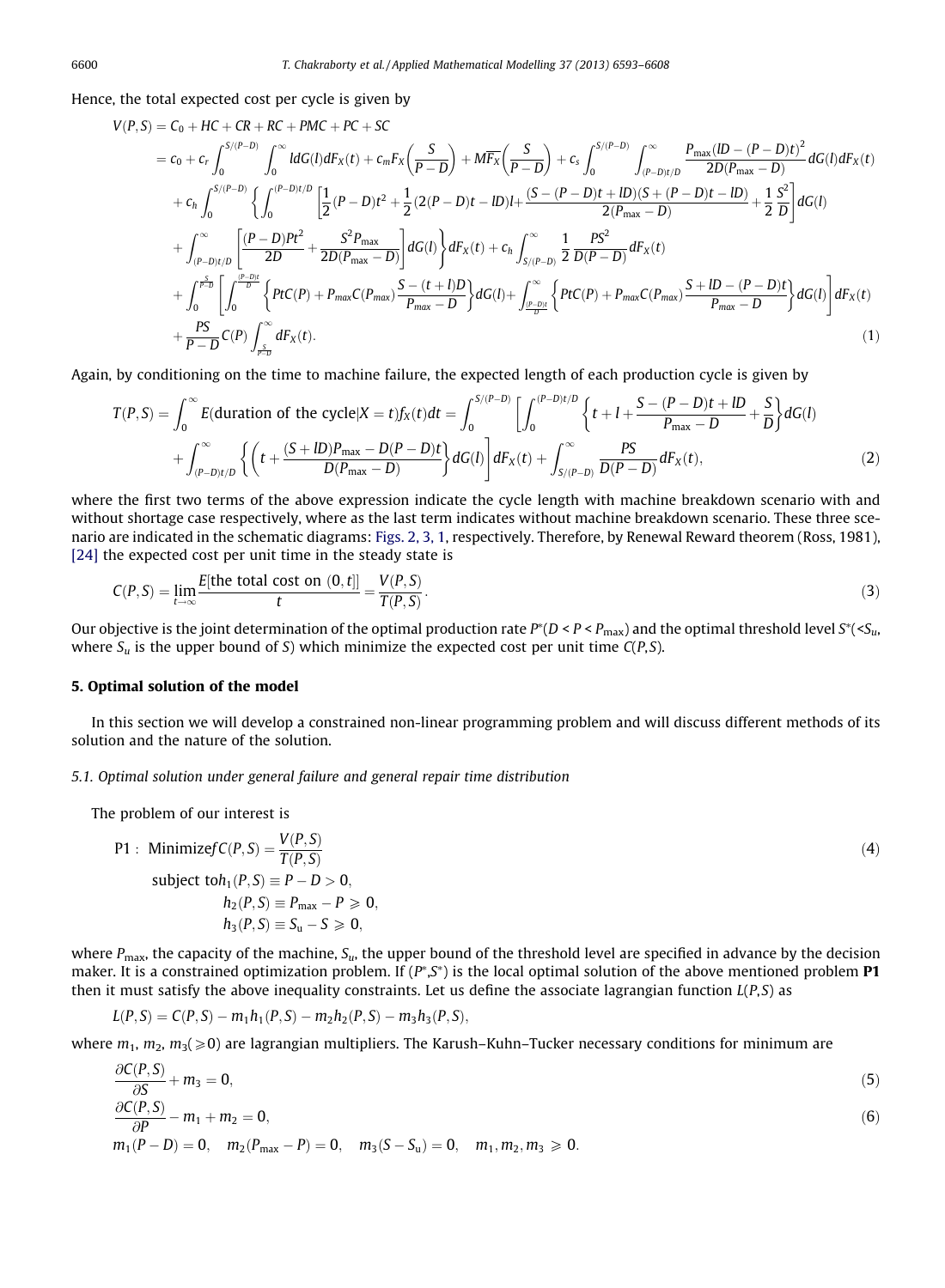<span id="page-7-0"></span>Hence, the total expected cost per cycle is given by

$$
V(P,S) = C_0 + HC + CR + RC + PMC + PC + SC
$$
\n
$$
= c_0 + c_r \int_0^{S/(P-D)} \int_0^{\infty} dG(l) dF_X(t) + c_m F_X(\frac{S}{P-D}) + MF_X(\frac{S}{P-D}) + c_s \int_0^{S/(P-D)} \int_{(P-D)t/D}^{\infty} \frac{P_{max} (lD - (P-D)t)^2}{2D(P_{max} - D)} dG(l) dF_X(t)
$$
\n
$$
+ c_h \int_0^{S/(P-D)} \left\{ \int_0^{(P-D)t/D} \left[ \frac{1}{2} (P-D)t^2 + \frac{1}{2} (2(P-D)t - lD) + \frac{(S - (P-D)t + lD)(S + (P-D)t - lD)}{2(P_{max} - D)} + \frac{1}{2} \frac{S^2}{D} \right] dG(l) \right\}
$$
\n
$$
+ \int_{(P-D)t/D}^{\infty} \left[ \frac{(P-D)Pt^2}{2D} + \frac{S^2 P_{max}}{2D(P_{max} - D)} \right] dG(l) \left\{ dF_X(t) + c_h \int_{S/(P-D)}^{\infty} \frac{1}{2} \frac{PS^2}{D(P-D)} dF_X(t) + \int_{(P-D)t/D}^{\infty} \left[ \int_0^{\frac{(P-D)t}{D}} \left\{ PtC(P) + P_{max} C(P_{max}) \frac{S - (t + l)D}{P_{max} - D} \right\} dG(l) + \int_{\frac{(P-D)t}{D}}^{\infty} \left\{ PtC(P) + P_{max} C(P_{max}) \frac{S + lD - (P-D)t}{P_{max} - D} \right\} dG(l) \right\} dF_X(t)
$$
\n
$$
+ \frac{PS}{P-D} C(P) \int_{\frac{S}{P-D}}^{\infty} dF_X(t).
$$
\n(1)

Again, by conditioning on the time to machine failure, the expected length of each production cycle is given by

$$
T(P, S) = \int_0^\infty E(\text{duration of the cycle}|X = t) f_X(t) dt = \int_0^{S/(P-D)} \left[ \int_0^{(P-D)t/D} \left\{ t + l + \frac{S - (P-D)t + ID}{P_{\text{max}} - D} + \frac{S}{D} \right\} dG(l) + \int_{(P-D)t/D}^\infty \left\{ \left( t + \frac{(S+ID)P_{\text{max}} - D(P-D)t}{D(P_{\text{max}} - D)} \right\} dG(l) \right\} dF_X(t) + \int_{S/(P-D)}^\infty \frac{PS}{D(P-D)} dF_X(t), \tag{2}
$$

where the first two terms of the above expression indicate the cycle length with machine breakdown scenario with and without shortage case respectively, where as the last term indicates without machine breakdown scenario. These three scenario are indicated in the schematic diagrams: [Figs. 2, 3, 1,](#page-4-0) respectively. Therefore, by Renewal Reward theorem (Ross, 1981), [\[24\]](#page-15-0) the expected cost per unit time in the steady state is

$$
C(P, S) = \lim_{t \to \infty} \frac{E[\text{the total cost on } (0, t]]}{t} = \frac{V(P, S)}{T(P, S)}.
$$
\n(3)

Our objective is the joint determination of the optimal production rate  $P^*(D < P < P_{\text{max}})$  and the optimal threshold level  $S^*(< S_u,$ where  $S_u$  is the upper bound of S) which minimize the expected cost per unit time  $C(P,S)$ .

## 5. Optimal solution of the model

In this section we will develop a constrained non-linear programming problem and will discuss different methods of its solution and the nature of the solution.

## 5.1. Optimal solution under general failure and general repair time distribution

The problem of our interest is

 $\cos \theta$ 

P1: Minimize 
$$
fC(P, S) = \frac{V(P, S)}{T(P, S)}
$$
  
\nsubject  $coh_1(P, S) \equiv P - D > 0$ ,  
\n $h_2(P, S) \equiv P_{\text{max}} - P \ge 0$ ,  
\n $h_3(P, S) \equiv S_u - S \ge 0$ ,

where  $P_{\text{max}}$ , the capacity of the machine,  $S_u$ , the upper bound of the threshold level are specified in advance by the decision maker. It is a constrained optimization problem. If  $(P^*,S^*)$  is the local optimal solution of the above mentioned problem **P1** then it must satisfy the above inequality constraints. Let us define the associate lagrangian function  $L(P,S)$  as

$$
L(P, S) = C(P, S) - m_1 h_1(P, S) - m_2 h_2(P, S) - m_3 h_3(P, S),
$$

where  $m_1$ ,  $m_2$ ,  $m_3(\geqslant 0)$  are lagrangian multipliers. The Karush–Kuhn–Tucker necessary conditions for minimum are

$$
\frac{\partial C(P, S)}{\partial S} + m_3 = 0,
$$
\n
$$
\frac{\partial C(P, S)}{\partial P} - m_1 + m_2 = 0,
$$
\n
$$
m_1(P - D) = 0, \quad m_2(P_{\text{max}} - P) = 0, \quad m_3(S - S_u) = 0, \quad m_1, m_2, m_3 \ge 0.
$$
\n(6)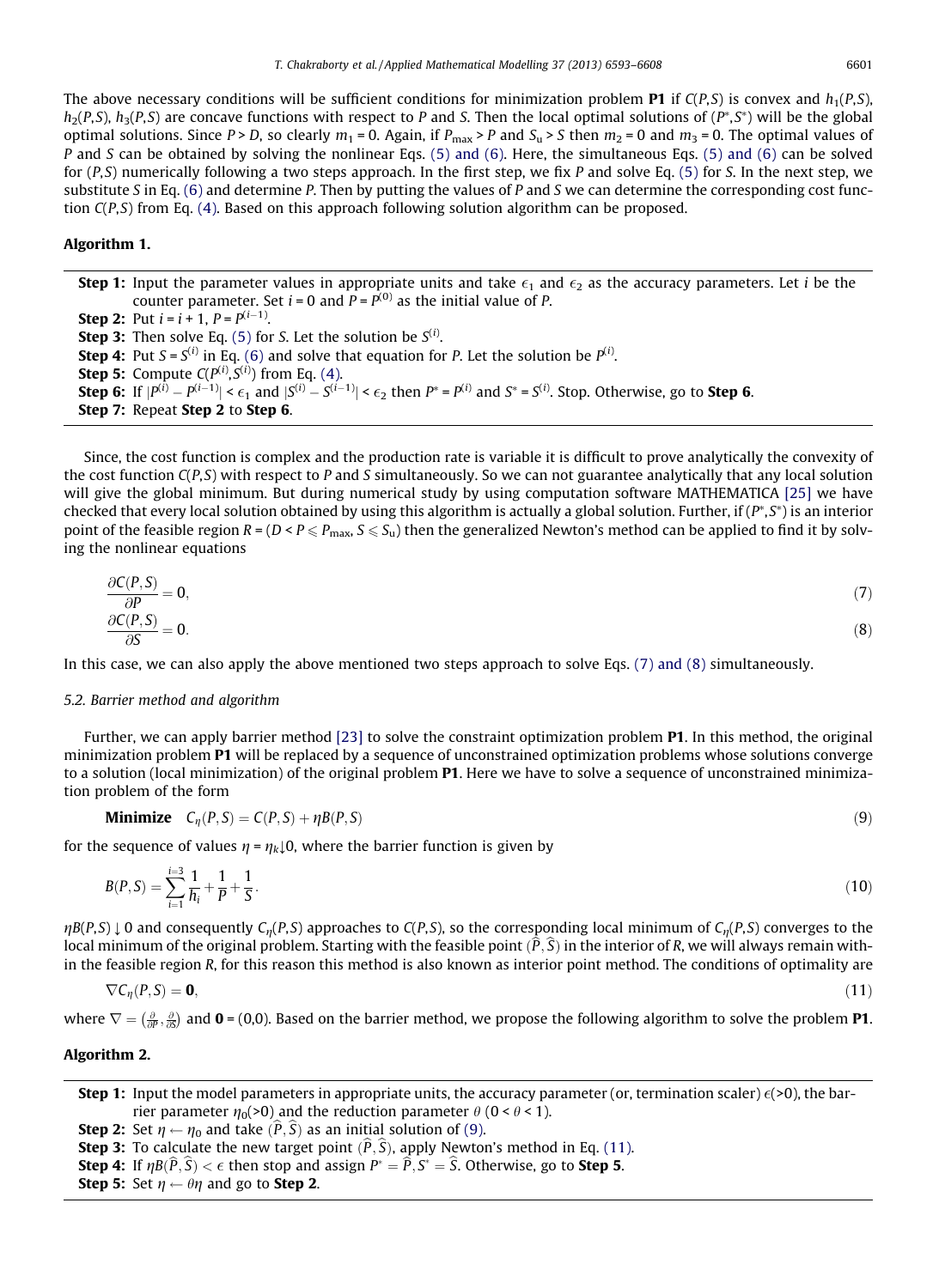<span id="page-8-0"></span>The above necessary conditions will be sufficient conditions for minimization problem **P1** if  $C(P,S)$  is convex and  $h_1(P,S)$ .  $h_2(P,S)$ ,  $h_3(P,S)$  are concave functions with respect to P and S. Then the local optimal solutions of  $(P^*,S^*)$  will be the global optimal solutions. Since P > D, so clearly  $m_1 = 0$ . Again, if  $P_{\text{max}} > P$  and  $S_u > S$  then  $m_2 = 0$  and  $m_3 = 0$ . The optimal values of P and S can be obtained by solving the nonlinear Eqs. [\(5\) and \(6\)](#page-7-0). Here, the simultaneous Eqs. [\(5\) and \(6\)](#page-7-0) can be solved for  $(P, S)$  numerically following a two steps approach. In the first step, we fix P and solve Eq. [\(5\)](#page-7-0) for S. In the next step, we substitute S in Eq.  $(6)$  and determine P. Then by putting the values of P and S we can determine the corresponding cost function C(P,S) from Eq. [\(4\).](#page-7-0) Based on this approach following solution algorithm can be proposed.

## Algorithm 1.

**Step 1:** Input the parameter values in appropriate units and take  $\epsilon_1$  and  $\epsilon_2$  as the accuracy parameters. Let *i* be the counter parameter. Set  $i = 0$  and  $P = P^{(0)}$  as the initial value of P. **Step 2:** Put  $i = i + 1$ ,  $P = P^{(i-1)}$ . **Step 3:** Then solve Eq. [\(5\)](#page-7-0) for S. Let the solution be  $S^{(i)}$ .

**Step 4:** Put S = S<sup>(i)</sup> in Eq. (6) and solve that equation for P. Let the solution be  $P^{(i)}$ . **Step 5:** Compute  $C(P^{(i)}, S^{(i)})$  from Eq. [\(4\).](#page-7-0) **Step 6:** If  $|P^{(i)} - P^{(i-1)}| < \epsilon_1$  and  $|S^{(i)} - S^{(i-1)}| < \epsilon_2$  then  $P^* = P^{(i)}$  and  $S^* = S^{(i)}$ . Stop. Otherwise, go to **Step 6**. Step 7: Repeat Step 2 to Step 6.

Since, the cost function is complex and the production rate is variable it is difficult to prove analytically the convexity of the cost function  $C(P,S)$  with respect to P and S simultaneously. So we can not guarantee analytically that any local solution will give the global minimum. But during numerical study by using computation software MATHEMATICA [\[25\]](#page-15-0) we have checked that every local solution obtained by using this algorithm is actually a global solution. Further, if  $(P^*,S^*)$  is an interior point of the feasible region  $R = (D < P \leq P_{\text{max}}, S \leq S_u)$  then the generalized Newton's method can be applied to find it by solving the nonlinear equations

$$
\frac{\partial C(P, S)}{\partial P} = 0,
$$
\n
$$
\frac{\partial C(P, S)}{\partial S} = 0.
$$
\n(3)

In this case, we can also apply the above mentioned two steps approach to solve Eqs. (7) and (8) simultaneously.

## 5.2. Barrier method and algorithm

Further, we can apply barrier method [\[23\]](#page-15-0) to solve the constraint optimization problem P1. In this method, the original minimization problem P1 will be replaced by a sequence of unconstrained optimization problems whose solutions converge to a solution (local minimization) of the original problem P1. Here we have to solve a sequence of unconstrained minimization problem of the form

**Minimize** 
$$
C_{\eta}(P, S) = C(P, S) + \eta B(P, S)
$$
 (9)

for the sequence of values  $\eta = \eta_k \downarrow 0$ , where the barrier function is given by

$$
B(P, S) = \sum_{i=1}^{i=3} \frac{1}{h_i} + \frac{1}{P} + \frac{1}{S}.
$$
\n(10)

 $\eta B(P,S) \downarrow 0$  and consequently  $C_n(P,S)$  approaches to  $C(P,S)$ , so the corresponding local minimum of  $C_n(P,S)$  converges to the local minimum of the original problem. Starting with the feasible point  $(\hat{P}, \hat{S})$  in the interior of R, we will always remain within the feasible region R, for this reason this method is also known as interior point method. The conditions of optimality are

$$
\nabla C_{\eta}(P,S) = \mathbf{0},\tag{11}
$$

where  $\nabla=(\frac{\partial}{\partial P},\frac{\partial}{\partial S})$  and  $\bm{0}$  = (0,0). Based on the barrier method, we propose the following algorithm to solve the problem P1.

## Algorithm 2.

**Step 1:** Input the model parameters in appropriate units, the accuracy parameter (or, termination scaler)  $\epsilon$ (>0), the barrier parameter  $\eta_0$ (>0) and the reduction parameter  $\theta$  (0 <  $\theta$  < 1).

**Step 2:** Set  $\eta \leftarrow \eta_0$  and take  $(\widehat{P}, \widehat{S})$  as an initial solution of (9).

**Step 3:** To calculate the new target point  $(\widehat{P}, \widehat{S})$ , apply Newton's method in Eq. (11).

**Step 4:** If  $\eta B(\widehat{P},\widehat{S})<\epsilon$  then stop and assign  $P^*=\widehat{P},S^*=\widehat{S}.$  Otherwise, go to **Step 5**.

**Step 5:** Set  $\eta \leftarrow \theta \eta$  and go to **Step 2.**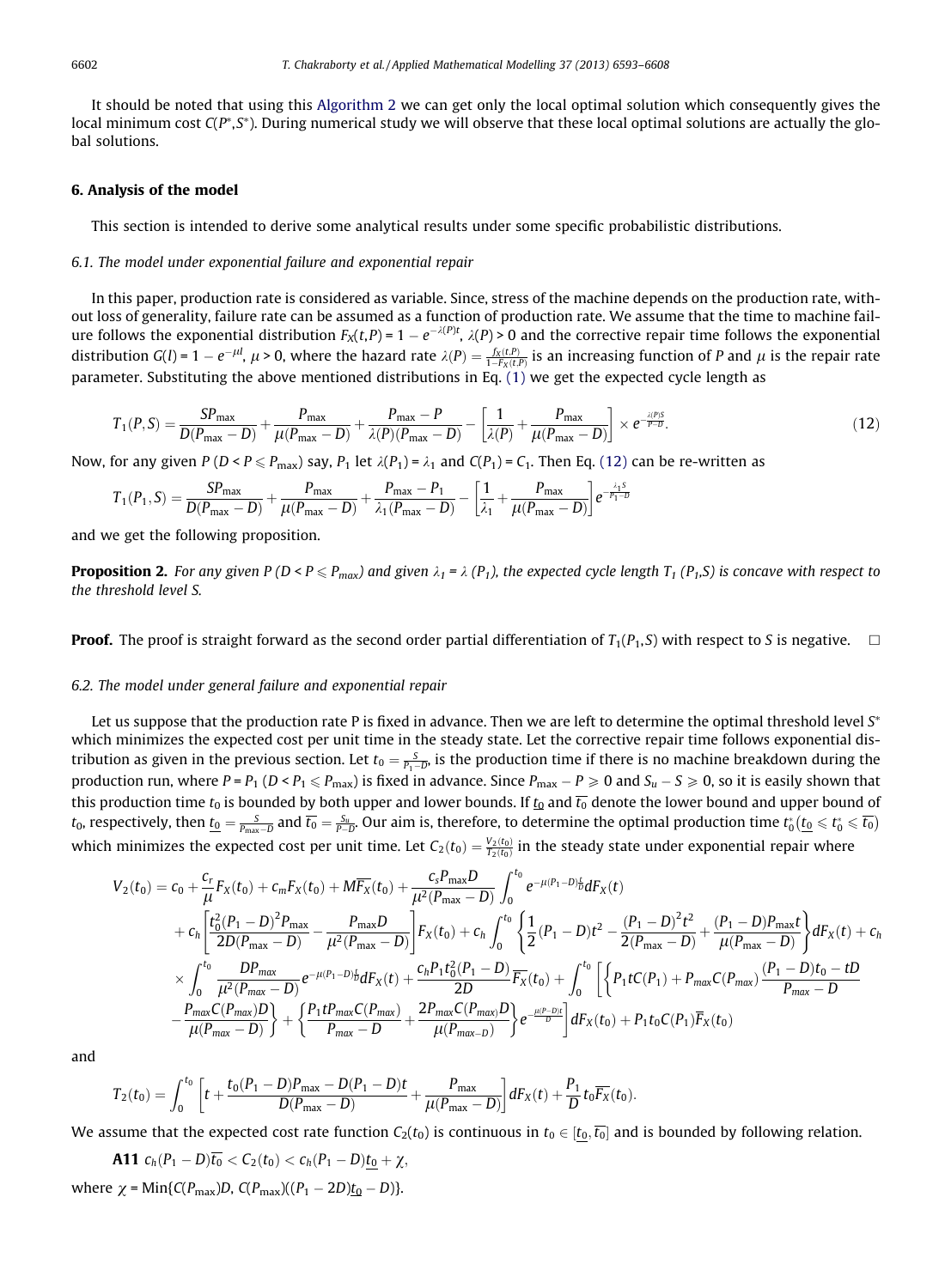It should be noted that using this [Algorithm 2](#page-8-0) we can get only the local optimal solution which consequently gives the local minimum cost  $C(P^*,S^*)$ . During numerical study we will observe that these local optimal solutions are actually the global solutions.

## 6. Analysis of the model

This section is intended to derive some analytical results under some specific probabilistic distributions.

## 6.1. The model under exponential failure and exponential repair

In this paper, production rate is considered as variable. Since, stress of the machine depends on the production rate, without loss of generality, failure rate can be assumed as a function of production rate. We assume that the time to machine failure follows the exponential distribution  $F_x(t,P)$  = 1 –  $e^{-\lambda(P)t}$ ,  $\lambda(P)$  > 0 and the corrective repair time follows the exponential distribution  $G(l)$  = 1 –  $e^{-\mu l}$ ,  $\mu$  > 0, where the hazard rate  $\lambda(P) = \frac{\int_X (t, P)}{1-F_X(t, P)}$  is an increasing function of P and  $\mu$  is the repair rate parameter. Substituting the above mentioned distributions in Eq. [\(1\)](#page-7-0) we get the expected cycle length as

$$
T_1(P,S) = \frac{SP_{\text{max}}}{D(P_{\text{max}} - D)} + \frac{P_{\text{max}}}{\mu(P_{\text{max}} - D)} + \frac{P_{\text{max}} - P}{\lambda(P)(P_{\text{max}} - D)} - \left[\frac{1}{\lambda(P)} + \frac{P_{\text{max}}}{\mu(P_{\text{max}} - D)}\right] \times e^{-\frac{\lambda(P)S}{P - D}}.
$$
\n(12)

Now, for any given  $P (D < P \le P_{\text{max}})$  say,  $P_1$  let  $\lambda(P_1) = \lambda_1$  and  $C(P_1) = C_1$ . Then Eq. (12) can be re-written as

$$
T_1(P_1,S) = \frac{SP_{max}}{D(P_{max}-D)} + \frac{P_{max}}{\mu(P_{max}-D)} + \frac{P_{max}-P_1}{\lambda_1(P_{max}-D)} - \bigg[\frac{1}{\lambda_1} + \frac{P_{max}}{\mu(P_{max}-D)}\bigg]e^{-\frac{\lambda_1 S}{P_1-D}}
$$

and we get the following proposition.

**Proposition 2.** For any given P ( $D < P \le P_{max}$ ) and given  $\lambda_1 = \lambda (P_1)$ , the expected cycle length  $T_1 (P_1, S)$  is concave with respect to the threshold level S.

**Proof.** The proof is straight forward as the second order partial differentiation of  $T_1(P_1, S)$  with respect to S is negative.  $\Box$ 

## 6.2. The model under general failure and exponential repair

Let us suppose that the production rate P is fixed in advance. Then we are left to determine the optimal threshold level  $S^*$ which minimizes the expected cost per unit time in the steady state. Let the corrective repair time follows exponential distribution as given in the previous section. Let  $t_0 = \frac{S}{P_1 - D'}$  is the production time if there is no machine breakdown during the production run, where  $P = P_1 (D < P_1 \le P_{\text{max}})$  is fixed in advance. Since  $P_{\text{max}} - P \ge 0$  and  $S_u - S \ge 0$ , so it is easily shown that this production time  $t_0$  is bounded by both upper and lower bounds. If  $\underline{t_0}$  and  $\overline{t_0}$  denote the lower bound and upper bound of  $t_0$ , respectively, then  $\underline{t_0} = \frac{S}{P_{\text{max}}-D}$  and  $\overline{t_0} = \frac{S_u}{P-D}$ . Our aim is, therefore, to determine the optimal production time  $t_0^*(\underline{t_0} \leq t_0^* \leq \overline{t_0})$ which minimizes the expected cost per unit time. Let  $C_2(t_0) = \frac{V_2(t_0)}{T_2(t_0)}$  in the steady state under exponential repair where

$$
V_{2}(t_{0}) = c_{0} + \frac{c_{r}}{\mu}F_{X}(t_{0}) + c_{m}F_{X}(t_{0}) + MF_{X}(t_{0}) + \frac{c_{s}P_{max}D}{\mu^{2}(P_{max} - D)} \int_{0}^{t_{0}} e^{-\mu(P_{1} - D)_{D}^{L}} dF_{X}(t) + c_{h} \left[ \frac{t_{0}^{2}(P_{1} - D)^{2}P_{max}}{2D(P_{max} - D)} - \frac{P_{max}D}{\mu^{2}(P_{max} - D)} \right] F_{X}(t_{0}) + c_{h} \int_{0}^{t_{0}} \left\{ \frac{1}{2}(P_{1} - D)t^{2} - \frac{(P_{1} - D)^{2}t^{2}}{2(P_{max} - D)} + \frac{(P_{1} - D)P_{max}t}{\mu(P_{max} - D)} \right\} dF_{X}(t) + c_{h} \int_{0}^{t_{0}} \left\{ \frac{1}{2}(P_{1} - D)t^{2} - \frac{(P_{1} - D)^{2}t^{2}}{2(P_{max} - D)} + \frac{(P_{1} - D)P_{max}t}{\mu(P_{max} - D)} \right\} dF_{X}(t) + c_{h} \int_{0}^{t_{0}} \left[ \left\{ P_{1}tC(P_{1}) + P_{max}C(P_{max}) \frac{(P_{1} - D)t_{0} - tD}{P_{max} - D} - \frac{P_{max}C(P_{max})D}{\mu(P_{max} - D)} \right\} + \left\{ \frac{P_{1}tP_{max}C(P_{max})}{P_{max} - D} + \frac{2P_{max}C(P_{max})D}{\mu(P_{max} - D)} \right\} e^{-\frac{\mu(P - D)t}{D}} dF_{X}(t_{0}) + P_{1}t_{0}C(P_{1})\overline{F}_{X}(t_{0})
$$

and

$$
T_2(t_0)=\int_0^{t_0}\bigg[t+\frac{t_0(P_1-D)P_{max}-D(P_1-D)t}{D(P_{max}-D)}+\frac{P_{max}}{\mu(P_{max}-D)}\bigg]dF_X(t)+\frac{P_1}{D}t_0\overline{F_X}(t_0).
$$

We assume that the expected cost rate function  $C_2(t_0)$  is continuous in  $t_0 \in [t_0, \overline{t_0}]$  and is bounded by following relation.

A11  $c_h(P_1 - D)\overline{t_0} < C_2(t_0) < c_h(P_1 - D)t_0 + \chi$ where  $\gamma$  = Min{C( $P_{\text{max}}$ )D, C( $P_{\text{max}}$ )(( $P_1 - 2D$ )t<sub>0</sub> - D)}.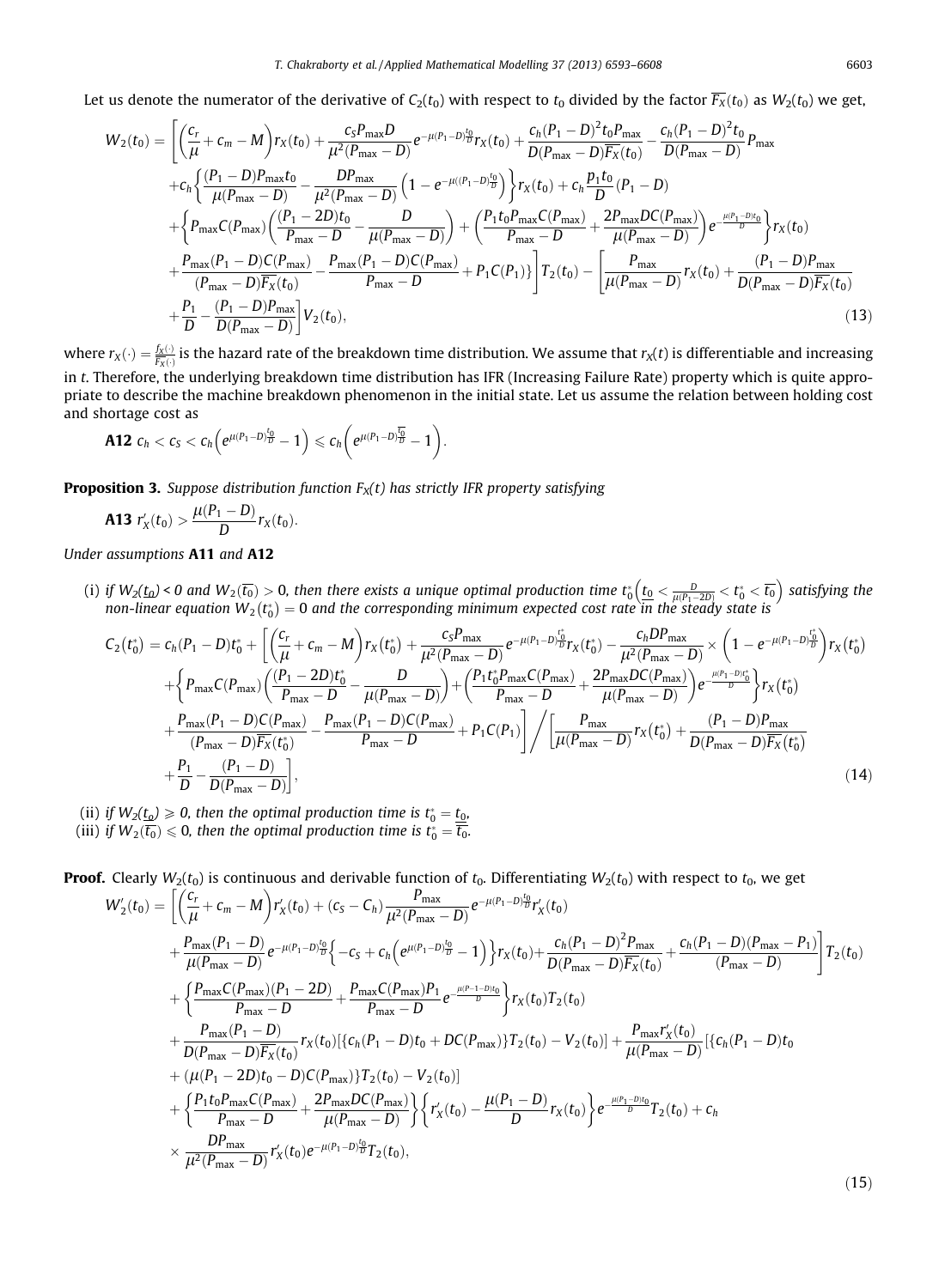<span id="page-10-0"></span>Let us denote the numerator of the derivative of  $C_2(t_0)$  with respect to  $t_0$  divided by the factor  $\overline{F_X}(t_0)$  as  $W_2(t_0)$  we get,

$$
W_{2}(t_{0}) = \left[ \left( \frac{c_{r}}{\mu} + c_{m} - M \right) r_{X}(t_{0}) + \frac{c_{S}P_{\max}D}{\mu^{2}(P_{\max} - D)} e^{-\mu(P_{1} - D)\frac{t_{0}}{D}} r_{X}(t_{0}) + \frac{c_{h}(P_{1} - D)^{2}t_{0}P_{\max}}{D(P_{\max} - D)\overline{F_{X}}(t_{0})} - \frac{c_{h}(P_{1} - D)^{2}t_{0}}{D(P_{\max} - D)} P_{\max} \right] + c_{h} \left\{ \frac{(P_{1} - D)P_{\max}t_{0}}{\mu(P_{\max} - D)} - \frac{DP_{\max}}{\mu^{2}(P_{\max} - D)} \left( 1 - e^{-\mu((P_{1} - D)\frac{t_{0}}{D})} \right) r_{X}(t_{0}) + c_{h} \frac{p_{1}t_{0}}{D} (P_{1} - D) \right) + \left\{ P_{\max}C(P_{\max}) \left( \frac{(P_{1} - 2D)t_{0}}{P_{\max} - D} - \frac{D}{\mu(P_{\max} - D)} \right) + \left( \frac{P_{1}t_{0}P_{\max}C(P_{\max})}{P_{\max} - D} + \frac{2P_{\max}DC(P_{\max})}{\mu(P_{\max} - D)} \right) e^{-\frac{\mu(P_{1} - D)t_{0}}{D}} \right\} r_{X}(t_{0}) + \frac{P_{\max}(P_{1} - D)C(P_{\max})}{(P_{\max} - D)\overline{F_{X}}(t_{0})} - \frac{P_{\max}(P_{1} - D)C(P_{\max})}{P_{\max} - D} + P_{1}C(P_{1}) \right] T_{2}(t_{0}) - \left[ \frac{P_{\max}}{\mu(P_{\max} - D)} r_{X}(t_{0}) + \frac{(P_{1} - D)P_{\max}}{D(P_{\max} - D)\overline{F_{X}}(t_{0})} + \frac{P_{1} - (P_{1} - D)P_{\max}}{D(P_{\max} - D)} \right] V_{2}(t_{0}), \tag{13}
$$

where  $r_X(\cdot)=\frac{f_X(\cdot)}{F_X(\cdot)}$  is the hazard rate of the breakdown time distribution. We assume that  $r_X(t)$  is differentiable and increasing in t. Therefore, the underlying breakdown time distribution has IFR (Increasing Failure Rate) property which is quite appropriate to describe the machine breakdown phenomenon in the initial state. Let us assume the relation between holding cost and shortage cost as

**A12** 
$$
c_h < c_S < c_h \left(e^{\mu(P_1-D)\frac{t_0}{D}}-1\right) \leq c_h \left(e^{\mu(P_1-D)\frac{t_0}{D}}-1\right).
$$

**Proposition 3.** Suppose distribution function  $F<sub>X</sub>(t)$  has strictly IFR property satisfying

**A13** 
$$
r'_X(t_0) > \frac{\mu(P_1 - D)}{D} r_X(t_0).
$$

Under assumptions A11 and A12

 $\overline{\mathsf{V}}$ 

(i) if  $W_2(\underline{t_0})$  < 0 and  $W_2(\overline{t_0}) >$  0, then there exists a unique optimal production time  $t_0^*\Big(\underline{t_0}<\frac{D}{\mu(P_1-2D)}< t_0^*<\overline{t_0}\Big)$  satisfying the non-linear equation  $W_2(t_0^*) = 0$  and the corresponding minimum expected cost rate in the steady state is

$$
C_{2}(t_{0}^{*}) = c_{h}(P_{1} - D)t_{0}^{*} + \left[ \left( \frac{c_{r}}{\mu} + c_{m} - M \right) r_{X}(t_{0}^{*}) + \frac{c_{S}P_{\max}}{\mu^{2}(P_{\max} - D)} e^{-\mu(P_{1} - D)\frac{r_{0}^{*}}{D}} r_{X}(t_{0}^{*}) - \frac{c_{h}DP_{\max}}{\mu^{2}(P_{\max} - D)} \times \left( 1 - e^{-\mu(P_{1} - D)\frac{r_{0}^{*}}{D}} \right) r_{X}(t_{0}^{*}) + \left\{ P_{\max}C(P_{\max}) \left( \frac{(P_{1} - 2D)t_{0}^{*}}{P_{\max} - D} - \frac{D}{\mu(P_{\max} - D)} \right) + \left( \frac{P_{1}t_{0}^{*}P_{\max}C(P_{\max})}{P_{\max} - D} + \frac{2P_{\max}DC(P_{\max})}{\mu(P_{\max} - D)} \right) e^{-\frac{\mu(P_{1} - D)t_{0}^{*}}{D}} \right\} r_{X}(t_{0}^{*}) + \frac{P_{\max}(P_{1} - D)C(P_{\max})}{(P_{\max} - D)\overline{F_{X}}(t_{0}^{*})} - \frac{P_{\max}(P_{1} - D)C(P_{\max})}{P_{\max} - D} + P_{1}C(P_{1}) \right] / \left[ \frac{P_{\max}}{\mu(P_{\max} - D)} r_{X}(t_{0}^{*}) + \frac{(P_{1} - D)P_{\max}}{D(P_{\max} - D)\overline{F_{X}}(t_{0}^{*})} + \frac{P_{1}}{D} - \frac{(P_{1} - D)}{D(P_{\max} - D)} \right],
$$
\n(14)

(ii) if  $W_2(\underline{t_a}) \geqslant 0$ , then the optimal production time is  $t^*_0 = \underline{t_0}$ , (iii) if  $W_2(\overline{t_0}) \leqslant 0$ , then the optimal production time is  $t_0^* = \overline{t_0}$ .

**Proof.** Clearly  $W_2(t_0)$  is continuous and derivable function of  $t_0$ . Differentiating  $W_2(t_0)$  with respect to  $t_0$ , we get

$$
V'_{2}(t_{0}) = \left[ \left( \frac{c_{r}}{\mu} + c_{m} - M \right) r'_{X}(t_{0}) + (c_{S} - C_{h}) \frac{P_{\max}}{\mu^{2}(P_{\max} - D)} e^{-\mu(P_{1} - D)\frac{t_{0}}{D}r'_{X}}(t_{0}) + \frac{c_{h}(P_{1} - D)^{2}P_{\max}}{\mu(P_{\max} - D)} + \frac{c_{h}(P_{1} - D)(P_{\max} - P_{1})}{\mu(P_{\max} - D)} \right] T_{2}(t_{0}) + \frac{P_{\max}(P_{1} - D)}{P_{\max} - D} e^{-\mu(P_{1} - D)\frac{t_{0}}{D}} \left\{ -c_{S} + c_{h} \left( e^{\mu(P_{1} - D)\frac{t_{0}}{D}} - 1 \right) \right\} r_{X}(t_{0}) + \frac{c_{h}(P_{1} - D)^{2}P_{\max}}{D(\overline{P_{\max}} - D)\overline{F_{X}}(t_{0})} + \frac{c_{h}(P_{1} - D)(P_{\max} - P_{1})}{P_{\max} - D} \right] T_{2}(t_{0}) + \frac{P_{\max}(P_{1} - D)}{D(P_{\max} - D)\overline{F_{X}}(t_{0})} r_{X}(t_{0}) \left[ \{c_{h}(P_{1} - D)t_{0} + DC(P_{\max}) \} T_{2}(t_{0}) - V_{2}(t_{0}) \right] + \frac{P_{\max} r'_{X}(t_{0})}{\mu(P_{\max} - D)} \left[ \{c_{h}(P_{1} - D)t_{0} + \mu(P_{1} - 2D)t_{0} - D)C(P_{\max}) \} T_{2}(t_{0}) - V_{2}(t_{0}) \right] + \left\{ \frac{P_{1}t_{0}P_{\max}(P_{\max})}{P_{\max} - D} + \frac{2P_{\max} DC(P_{\max})}{\mu(P_{\max} - D)} \right\} \left\{ r'_{X}(t_{0}) - \frac{\mu(P_{1} - D)}{D} r_{X}(t_{0}) \right\} e^{-\frac{\mu(P_{1} - D)t_{0}}{D} T_{2}(t_{0})} + c_{h} \times \frac{DP_{\max}}{\mu^{2}(P_{\max} - D)} r'_{X}(t_{0}) e^{-\mu(P_{1} - D)} \overline{\sigma}_{
$$

 $(15)$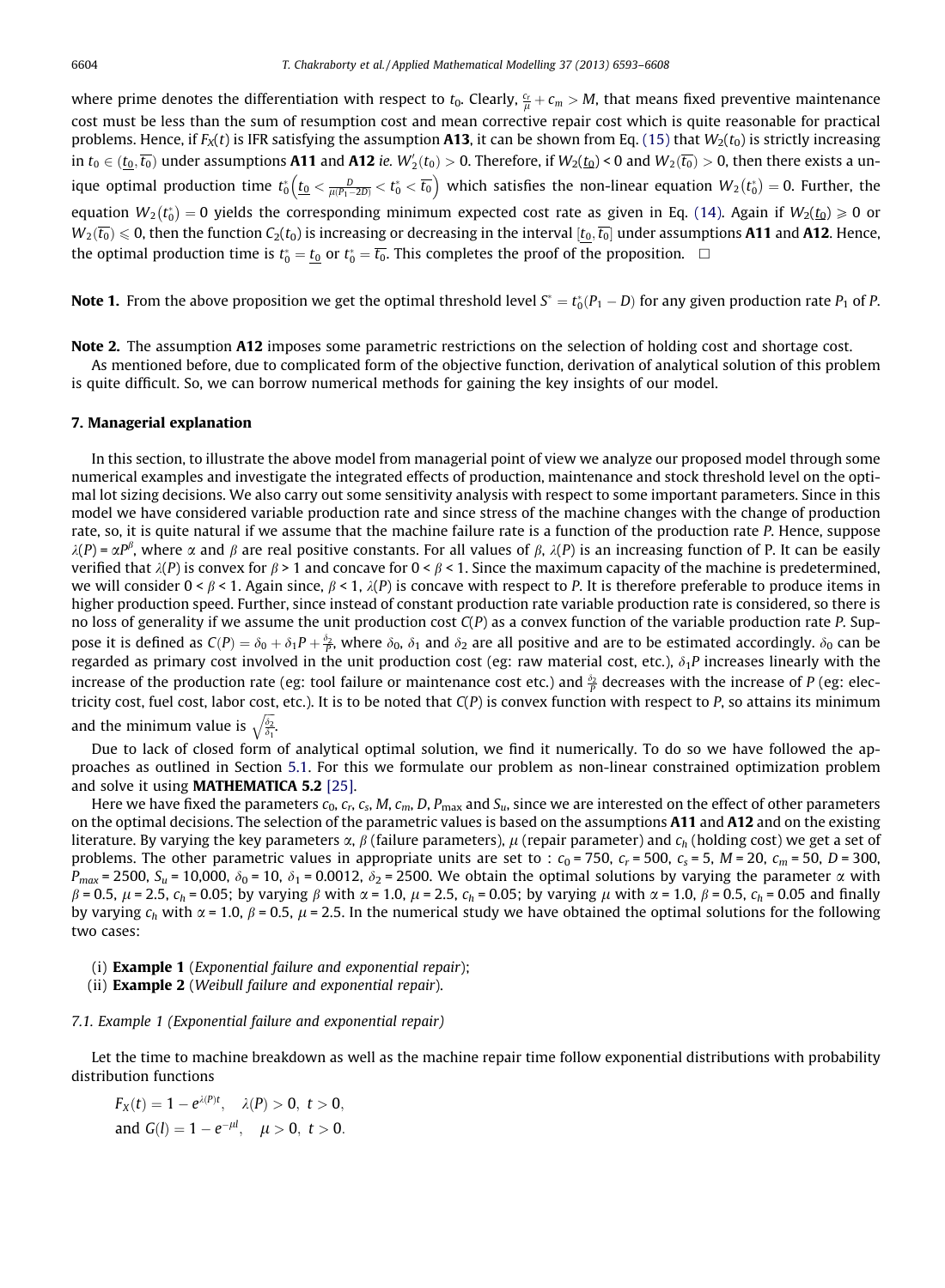where prime denotes the differentiation with respect to  $t_0$ . Clearly,  $\frac{c_r}{\mu}+c_m>M$ , that means fixed preventive maintenance cost must be less than the sum of resumption cost and mean corrective repair cost which is quite reasonable for practical problems. Hence, if  $F_X(t)$  is IFR satisfying the assumption A13, it can be shown from Eq. [\(15\)](#page-10-0) that  $W_2(t_0)$  is strictly increasing in  $t_0\in (\underline{t_0},\overline{t_0})$  under assumptions **A11** and **A12** ie.  $W_2'(t_0)>0$ . Therefore, if  $W_2(\underline{t_0})$  < 0 and  $W_2(\overline{t_0})>0$ , then there exists a unique optimal production time  $t_0^*(\underline{t_0} < \frac{p}{\mu(P_1 - 2D)} < t_0^* < \overline{t_0}$  which satisfies the non-linear equation  $W_2(t_0^*) = 0$ . Further, the equation  $W_2(t_0^*)=0$  yields the corresponding minimum expected cost rate as given in Eq. [\(14\).](#page-10-0) Again if  $W_2(\underline{t_0})\geqslant 0$  or  $W_2(\overline{t_0})\leq 0$ , then the function  $C_2(t_0)$  is increasing or decreasing in the interval  $[t_0,\overline{t_0}]$  under assumptions **A11** and **A12**. Hence, the optimal production time is  $t_0^* = \underline{t_0}$  or  $t_0^* = \overline{t_0}$ . This completes the proof of the proposition.  $\Box$ 

**Note 1.** From the above proposition we get the optimal threshold level  $S^* = t_0^*(P_1 - D)$  for any given production rate  $P_1$  of  $P$ .

Note 2. The assumption A12 imposes some parametric restrictions on the selection of holding cost and shortage cost.

As mentioned before, due to complicated form of the objective function, derivation of analytical solution of this problem is quite difficult. So, we can borrow numerical methods for gaining the key insights of our model.

## 7. Managerial explanation

In this section, to illustrate the above model from managerial point of view we analyze our proposed model through some numerical examples and investigate the integrated effects of production, maintenance and stock threshold level on the optimal lot sizing decisions. We also carry out some sensitivity analysis with respect to some important parameters. Since in this model we have considered variable production rate and since stress of the machine changes with the change of production rate, so, it is quite natural if we assume that the machine failure rate is a function of the production rate P. Hence, suppose  $\lambda(P) = \alpha P^{\beta}$ , where  $\alpha$  and  $\beta$  are real positive constants. For all values of  $\beta$ ,  $\lambda(P)$  is an increasing function of P. It can be easily verified that  $\lambda(P)$  is convex for  $\beta > 1$  and concave for  $0 < \beta < 1$ . Since the maximum capacity of the machine is predetermined, we will consider  $0 \le \beta \le 1$ . Again since,  $\beta \le 1$ ,  $\lambda(P)$  is concave with respect to P. It is therefore preferable to produce items in higher production speed. Further, since instead of constant production rate variable production rate is considered, so there is no loss of generality if we assume the unit production cost  $C(P)$  as a convex function of the variable production rate P. Suppose it is defined as  $C(P) = \delta_0 + \delta_1P + \frac{\delta_2}{P}$ , where  $\delta_0$ ,  $\delta_1$  and  $\delta_2$  are all positive and are to be estimated accordingly.  $\delta_0$  can be regarded as primary cost involved in the unit production cost (eg: raw material cost, etc.),  $\delta_1P$  increases linearly with the increase of the production rate (eg: tool failure or maintenance cost etc.) and  $\frac{\delta_2}{P}$  decreases with the increase of P (eg: electricity cost, fuel cost, labor cost, etc.). It is to be noted that  $C(P)$  is convex function with respect to P, so attains its minimum and the minimum value is  $\sqrt{\frac{\delta_2}{\delta_1}}$  $\sqrt{\frac{\delta_2}{\delta_1}}$ .

Due to lack of closed form of analytical optimal solution, we find it numerically. To do so we have followed the approaches as outlined in Section 5.1. For this we formulate our problem as non-linear constrained optimization problem and solve it using MATHEMATICA 5.2 [\[25\].](#page-15-0)

Here we have fixed the parameters  $c_0$ ,  $c_r$ ,  $c_s$ ,  $M$ ,  $c_m$ ,  $D$ ,  $P_{\text{max}}$  and  $S_u$ , since we are interested on the effect of other parameters on the optimal decisions. The selection of the parametric values is based on the assumptions A11 and A12 and on the existing literature. By varying the key parameters  $\alpha$ ,  $\beta$  (failure parameters),  $\mu$  (repair parameter) and  $c_h$  (holding cost) we get a set of problems. The other parametric values in appropriate units are set to :  $c_0$  = 750,  $c_r$  = 500,  $c_s$  = 5, M = 20,  $c_m$  = 50, D = 300,  $P_{max}$  = 2500,  $S_u$  = 10,000,  $\delta_0$  = 10,  $\delta_1$  = 0.0012,  $\delta_2$  = 2500. We obtain the optimal solutions by varying the parameter  $\alpha$  with  $\beta$  = 0.5,  $\mu$  = 2.5,  $c_h$  = 0.05; by varying  $\beta$  with  $\alpha$  = 1.0,  $\mu$  = 2.5,  $c_h$  = 0.05; by varying  $\mu$  with  $\alpha$  = 1.0,  $\beta$  = 0.5,  $c_h$  = 0.05 and finally by varying  $c_h$  with  $\alpha$  = 1.0,  $\beta$  = 0.5,  $\mu$  = 2.5. In the numerical study we have obtained the optimal solutions for the following two cases:

- (i) Example 1 (Exponential failure and exponential repair);
- (ii) **Example 2** (Weibull failure and exponential repair).

## 7.1. Example 1 (Exponential failure and exponential repair)

Let the time to machine breakdown as well as the machine repair time follow exponential distributions with probability distribution functions

 $F_X(t) = 1 - e^{\lambda(P)t}, \quad \lambda(P) > 0, \ t > 0,$ and  $G(l) = 1 - e^{-\mu l}$ ,  $\mu > 0$ ,  $t > 0$ .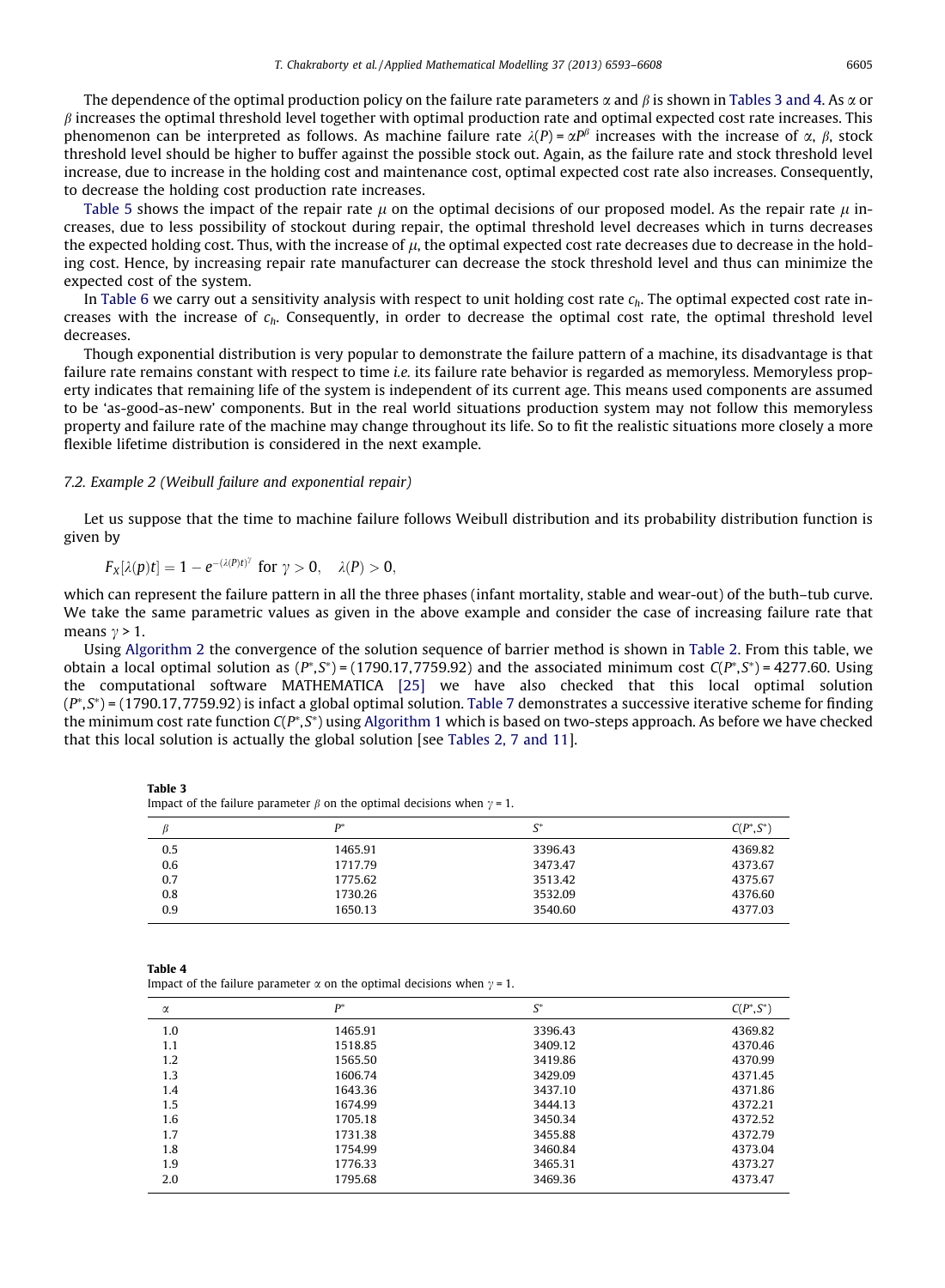The dependence of the optimal production policy on the failure rate parameters  $\alpha$  and  $\beta$  is shown in Tables 3 and 4. As  $\alpha$  or  $\beta$  increases the optimal threshold level together with optimal production rate and optimal expected cost rate increases. This phenomenon can be interpreted as follows. As machine failure rate  $\lambda(P) = \alpha P^{\beta}$  increases with the increase of  $\alpha$ ,  $\beta$ , stock threshold level should be higher to buffer against the possible stock out. Again, as the failure rate and stock threshold level increase, due to increase in the holding cost and maintenance cost, optimal expected cost rate also increases. Consequently, to decrease the holding cost production rate increases.

[Table 5](#page-13-0) shows the impact of the repair rate  $\mu$  on the optimal decisions of our proposed model. As the repair rate  $\mu$  increases, due to less possibility of stockout during repair, the optimal threshold level decreases which in turns decreases the expected holding cost. Thus, with the increase of  $\mu$ , the optimal expected cost rate decreases due to decrease in the holding cost. Hence, by increasing repair rate manufacturer can decrease the stock threshold level and thus can minimize the expected cost of the system.

In [Table 6](#page-13-0) we carry out a sensitivity analysis with respect to unit holding cost rate  $c_h$ . The optimal expected cost rate increases with the increase of  $c<sub>b</sub>$ . Consequently, in order to decrease the optimal cost rate, the optimal threshold level decreases.

Though exponential distribution is very popular to demonstrate the failure pattern of a machine, its disadvantage is that failure rate remains constant with respect to time *i.e.* its failure rate behavior is regarded as memoryless. Memoryless property indicates that remaining life of the system is independent of its current age. This means used components are assumed to be 'as-good-as-new' components. But in the real world situations production system may not follow this memoryless property and failure rate of the machine may change throughout its life. So to fit the realistic situations more closely a more flexible lifetime distribution is considered in the next example.

# 7.2. Example 2 (Weibull failure and exponential repair)

Let us suppose that the time to machine failure follows Weibull distribution and its probability distribution function is given by

$$
F_X[\lambda(p)t]=1-e^{-(\lambda(P)t)^\gamma} \text{ for } \gamma>0, \quad \lambda(P)>0,
$$

Table 3

which can represent the failure pattern in all the three phases (infant mortality, stable and wear-out) of the buth–tub curve. We take the same parametric values as given in the above example and consider the case of increasing failure rate that means  $\gamma > 1$ .

Using [Algorithm 2](#page-8-0) the convergence of the solution sequence of barrier method is shown in [Table 2](#page-2-0). From this table, we obtain a local optimal solution as  $(P^*,S^*) = (1790.17,7759.92)$  and the associated minimum cost  $C(P^*,S^*) = 4277.60$ . Using the computational software MATHEMATICA [\[25\]](#page-15-0) we have also checked that this local optimal solution  $(P^*,S^*)$  = (1790.17,7759.92) is infact a global optimal solution. [Table 7](#page-13-0) demonstrates a successive iterative scheme for finding the minimum cost rate function  $C(P^*,S^*)$  using [Algorithm 1](#page-8-0) which is based on two-steps approach. As before we have checked that this local solution is actually the global solution [see [Tables 2, 7 and 11\]](#page-2-0).

| тарк э                                                                               |  |
|--------------------------------------------------------------------------------------|--|
| Impact of the failure parameter $\beta$ on the optimal decisions when $\gamma = 1$ . |  |

|     | $P^*$   | $\mathsf{C}^*$ | $C(P^*,S^*)$ |
|-----|---------|----------------|--------------|
| 0.5 | 1465.91 | 3396.43        | 4369.82      |
| 0.6 | 1717.79 | 3473.47        | 4373.67      |
| 0.7 | 1775.62 | 3513.42        | 4375.67      |
| 0.8 | 1730.26 | 3532.09        | 4376.60      |
| 0.9 | 1650.13 | 3540.60        | 4377.03      |
|     |         |                |              |

Table 4 Impact of the failure parameter  $\alpha$  on the optimal decisions when  $\gamma = 1$ .

| α   | $P^*$   | $S^*$   | $C(P^*,S^*)$ |
|-----|---------|---------|--------------|
| 1.0 | 1465.91 | 3396.43 | 4369.82      |
| 1.1 | 1518.85 | 3409.12 | 4370.46      |
| 1.2 | 1565.50 | 3419.86 | 4370.99      |
| 1.3 | 1606.74 | 3429.09 | 4371.45      |
| 1.4 | 1643.36 | 3437.10 | 4371.86      |
| 1.5 | 1674.99 | 3444.13 | 4372.21      |
| 1.6 | 1705.18 | 3450.34 | 4372.52      |
| 1.7 | 1731.38 | 3455.88 | 4372.79      |
| 1.8 | 1754.99 | 3460.84 | 4373.04      |
| 1.9 | 1776.33 | 3465.31 | 4373.27      |
| 2.0 | 1795.68 | 3469.36 | 4373.47      |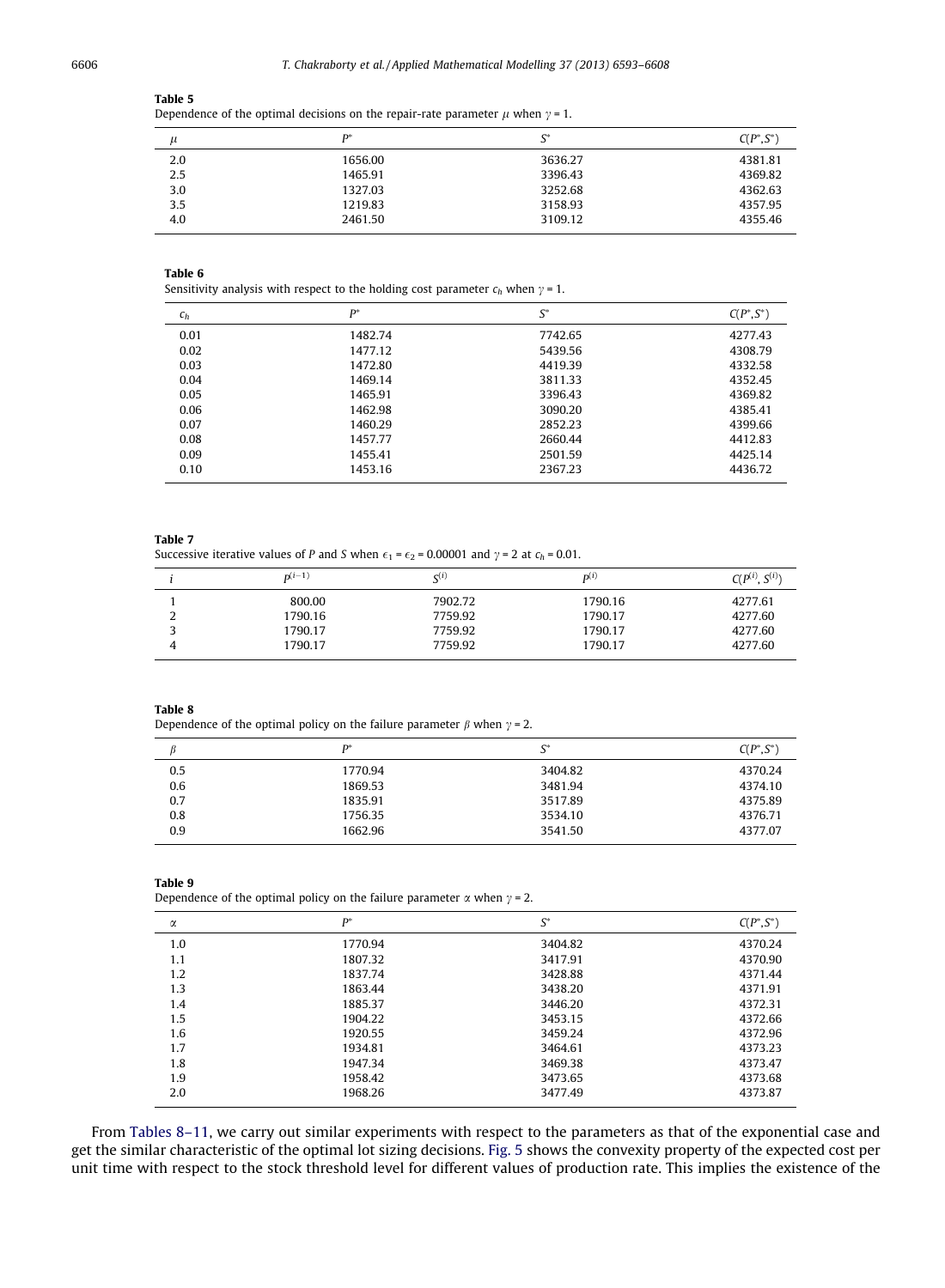#### <span id="page-13-0"></span>Table 5

|  | Dependence of the optimal decisions on the repair-rate parameter $\mu$ when $\gamma$ = 1. |  |  |
|--|-------------------------------------------------------------------------------------------|--|--|
|--|-------------------------------------------------------------------------------------------|--|--|

|     | D*      | $S^*$   | $C(P^*,S^*)$ |
|-----|---------|---------|--------------|
| 2.0 | 1656.00 | 3636.27 | 4381.81      |
| 2.5 | 1465.91 | 3396.43 | 4369.82      |
| 3.0 | 1327.03 | 3252.68 | 4362.63      |
| 3.5 | 1219.83 | 3158.93 | 4357.95      |
| 4.0 | 2461.50 | 3109.12 | 4355.46      |

| . . | $\sim$ |
|-----|--------|
|-----|--------|

Sensitivity analysis with respect to the holding cost parameter  $c_h$  when  $\gamma$  = 1.

| $c_h$ | $P^*$   | $S^*$   | $C(P^*,S^*)$ |
|-------|---------|---------|--------------|
| 0.01  | 1482.74 | 7742.65 | 4277.43      |
| 0.02  | 1477.12 | 5439.56 | 4308.79      |
| 0.03  | 1472.80 | 4419.39 | 4332.58      |
| 0.04  | 1469.14 | 3811.33 | 4352.45      |
| 0.05  | 1465.91 | 3396.43 | 4369.82      |
| 0.06  | 1462.98 | 3090.20 | 4385.41      |
| 0.07  | 1460.29 | 2852.23 | 4399.66      |
| 0.08  | 1457.77 | 2660.44 | 4412.83      |
| 0.09  | 1455.41 | 2501.59 | 4425.14      |
| 0.10  | 1453.16 | 2367.23 | 4436.72      |

#### Table 7

Successive iterative values of P and S when  $\epsilon_1 = \epsilon_2 = 0.00001$  and  $\gamma = 2$  at  $c_h = 0.01$ .

| $p(i-1)$ | $\varsigma$ (i) | p(i)    | $C(P^{(i)}, S^{(i)})$ |
|----------|-----------------|---------|-----------------------|
| 800.00   | 7902.72         | 1790.16 | 4277.61               |
| 1790.16  | 7759.92         | 1790.17 | 4277.60               |
| 1790.17  | 7759.92         | 1790.17 | 4277.60               |
| 1790.17  | 7759.92         | 1790.17 | 4277.60               |

## Table 8

Dependence of the optimal policy on the failure parameter  $\beta$  when  $\gamma$  = 2.

|     | $\mathbf{D}^*$ | $\varsigma^*$ | $C(P^*,S^*)$ |
|-----|----------------|---------------|--------------|
| 0.5 | 1770.94        | 3404.82       | 4370.24      |
| 0.6 | 1869.53        | 3481.94       | 4374.10      |
| 0.7 | 1835.91        | 3517.89       | 4375.89      |
| 0.8 | 1756.35        | 3534.10       | 4376.71      |
| 0.9 | 1662.96        | 3541.50       | 4377.07      |

Table 9

Dependence of the optimal policy on the failure parameter  $\alpha$  when  $\gamma$  = 2.

| α   | $P^*$   | $S^*$   | $C(P^*,S^*)$ |
|-----|---------|---------|--------------|
| 1.0 | 1770.94 | 3404.82 | 4370.24      |
| 1.1 | 1807.32 | 3417.91 | 4370.90      |
| 1.2 | 1837.74 | 3428.88 | 4371.44      |
| 1.3 | 1863.44 | 3438.20 | 4371.91      |
| 1.4 | 1885.37 | 3446.20 | 4372.31      |
| 1.5 | 1904.22 | 3453.15 | 4372.66      |
| 1.6 | 1920.55 | 3459.24 | 4372.96      |
| 1.7 | 1934.81 | 3464.61 | 4373.23      |
| 1.8 | 1947.34 | 3469.38 | 4373.47      |
| 1.9 | 1958.42 | 3473.65 | 4373.68      |
| 2.0 | 1968.26 | 3477.49 | 4373.87      |

From Tables 8–11, we carry out similar experiments with respect to the parameters as that of the exponential case and get the similar characteristic of the optimal lot sizing decisions. [Fig. 5](#page-6-0) shows the convexity property of the expected cost per unit time with respect to the stock threshold level for different values of production rate. This implies the existence of the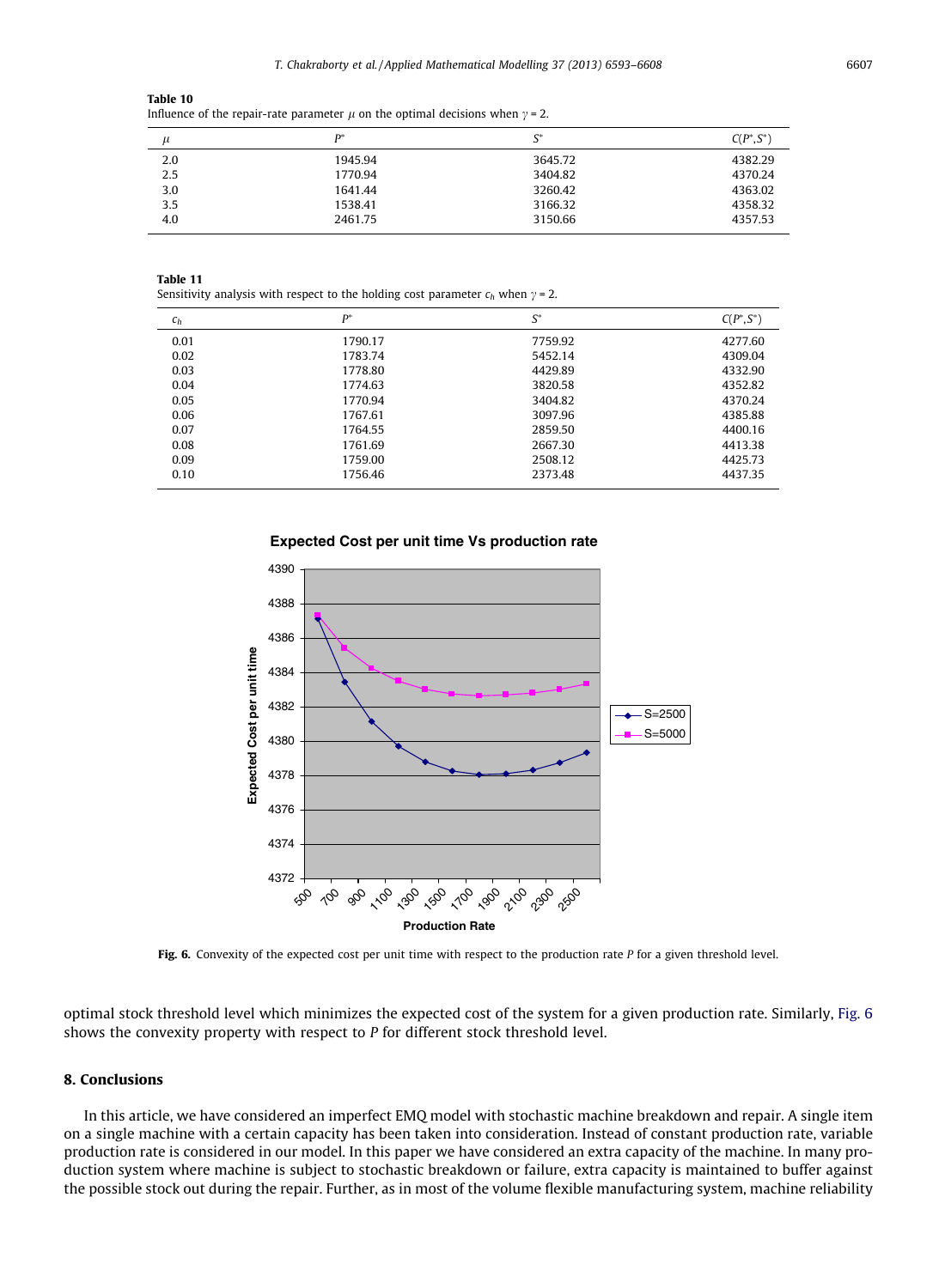| ν<br>н<br>н<br>π<br>ı | l |
|-----------------------|---|
|-----------------------|---|

| Influence of the repair-rate parameter $\mu$ on the optimal decisions when $\gamma$ = 2. |  |  |
|------------------------------------------------------------------------------------------|--|--|
|------------------------------------------------------------------------------------------|--|--|

| μ   | $P^*$   | $\varsigma^*$ | $C(P^*,S^*)$ |
|-----|---------|---------------|--------------|
| 2.0 | 1945.94 | 3645.72       | 4382.29      |
| 2.5 | 1770.94 | 3404.82       | 4370.24      |
| 3.0 | 1641.44 | 3260.42       | 4363.02      |
| 3.5 | 1538.41 | 3166.32       | 4358.32      |
| 4.0 | 2461.75 | 3150.66       | 4357.53      |

| Table |  |
|-------|--|
|-------|--|

Sensitivity analysis with respect to the holding cost parameter  $c_h$  when  $\gamma$  = 2.

| $c_h$ | $P^*$   | $S^*$   | $C(P^*,S^*)$ |
|-------|---------|---------|--------------|
| 0.01  | 1790.17 | 7759.92 | 4277.60      |
| 0.02  | 1783.74 | 5452.14 | 4309.04      |
| 0.03  | 1778.80 | 4429.89 | 4332.90      |
| 0.04  | 1774.63 | 3820.58 | 4352.82      |
| 0.05  | 1770.94 | 3404.82 | 4370.24      |
| 0.06  | 1767.61 | 3097.96 | 4385.88      |
| 0.07  | 1764.55 | 2859.50 | 4400.16      |
| 0.08  | 1761.69 | 2667.30 | 4413.38      |
| 0.09  | 1759.00 | 2508.12 | 4425.73      |
| 0.10  | 1756.46 | 2373.48 | 4437.35      |

**Expected Cost per unit time Vs production rate**



Fig. 6. Convexity of the expected cost per unit time with respect to the production rate  $P$  for a given threshold level.

optimal stock threshold level which minimizes the expected cost of the system for a given production rate. Similarly, Fig. 6 shows the convexity property with respect to P for different stock threshold level.

## 8. Conclusions

In this article, we have considered an imperfect EMQ model with stochastic machine breakdown and repair. A single item on a single machine with a certain capacity has been taken into consideration. Instead of constant production rate, variable production rate is considered in our model. In this paper we have considered an extra capacity of the machine. In many production system where machine is subject to stochastic breakdown or failure, extra capacity is maintained to buffer against the possible stock out during the repair. Further, as in most of the volume flexible manufacturing system, machine reliability